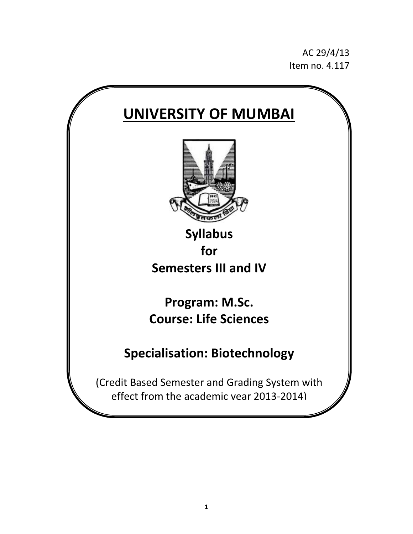AC 29/4/13 Item no. 4.117

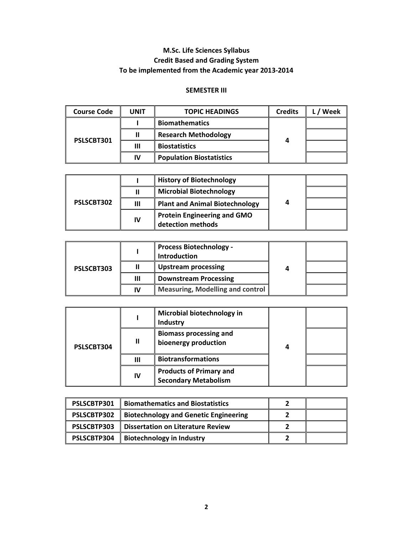# **M.Sc. Life Sciences Syllabus Credit Based and Grading System To be implemented from the Academic year 2013‐2014**

# **SEMESTER III**

| <b>Course Code</b> | <b>UNIT</b> | <b>TOPIC HEADINGS</b>           | <b>Credits</b> | Week |
|--------------------|-------------|---------------------------------|----------------|------|
| PSLSCBT301         |             | <b>Biomathematics</b>           |                |      |
|                    |             | <b>Research Methodology</b>     |                |      |
|                    | Ш           | <b>Biostatistics</b>            |                |      |
|                    | IV          | <b>Population Biostatistics</b> |                |      |

| PSLSCBT302 |    | <b>History of Biotechnology</b>                         |   |  |
|------------|----|---------------------------------------------------------|---|--|
|            |    | <b>Microbial Biotechnology</b>                          |   |  |
|            | Ш  | <b>Plant and Animal Biotechnology</b>                   | 4 |  |
|            | IV | <b>Protein Engineering and GMO</b><br>detection methods |   |  |

| PSLSCBT303 |    | <b>Process Biotechnology -</b><br><b>Introduction</b> |   |  |
|------------|----|-------------------------------------------------------|---|--|
|            |    | <b>Upstream processing</b>                            | 4 |  |
|            | Ш  | <b>Downstream Processing</b>                          |   |  |
|            | IV | <b>Measuring, Modelling and control</b>               |   |  |

|            |    | Microbial biotechnology in<br>Industry                        |   |  |
|------------|----|---------------------------------------------------------------|---|--|
| PSLSCBT304 | Ш  | <b>Biomass processing and</b><br>bioenergy production         | 4 |  |
|            | Ш  | <b>Biotransformations</b>                                     |   |  |
|            | IV | <b>Products of Primary and</b><br><b>Secondary Metabolism</b> |   |  |

| PSLSCBTP301 | <b>Biomathematics and Biostatistics</b>      |  |
|-------------|----------------------------------------------|--|
| PSLSCBTP302 | <b>Biotechnology and Genetic Engineering</b> |  |
| PSLSCBTP303 | <b>Dissertation on Literature Review</b>     |  |
| PSLSCBTP304 | <b>Biotechnology in Industry</b>             |  |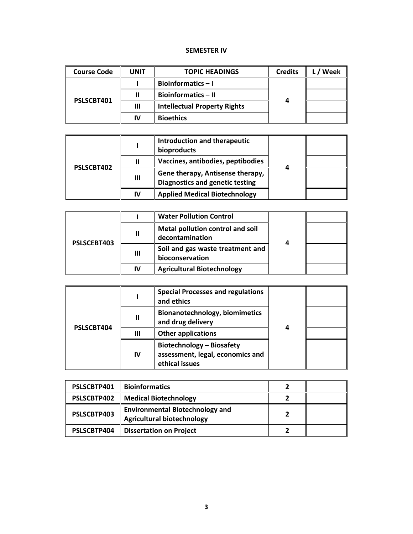#### **SEMESTER IV**

| <b>Course Code</b> | <b>UNIT</b> | <b>TOPIC HEADINGS</b>               | <b>Credits</b> | Week |
|--------------------|-------------|-------------------------------------|----------------|------|
| PSLSCBT401         |             | Bioinformatics $-1$                 |                |      |
|                    |             | <b>Bioinformatics - II</b>          |                |      |
|                    | Ш           | <b>Intellectual Property Rights</b> | 4              |      |
|                    | IV          | <b>Bioethics</b>                    |                |      |

| PSLSCBT402 |    | <b>Introduction and therapeutic</b><br>bioproducts                         |   |  |
|------------|----|----------------------------------------------------------------------------|---|--|
|            |    | Vaccines, antibodies, peptibodies                                          |   |  |
|            | Ш  | Gene therapy, Antisense therapy,<br><b>Diagnostics and genetic testing</b> | Δ |  |
|            | IV | <b>Applied Medical Biotechnology</b>                                       |   |  |

| PSLSCEBT403 |    | <b>Water Pollution Control</b>                      |   |  |
|-------------|----|-----------------------------------------------------|---|--|
|             | Ш  | Metal pollution control and soil<br>decontamination | 4 |  |
|             | Ш  | Soil and gas waste treatment and<br>bioconservation |   |  |
|             | IV | <b>Agricultural Biotechnology</b>                   |   |  |

|            |              | <b>Special Processes and regulations</b><br>and ethics                                 |   |  |
|------------|--------------|----------------------------------------------------------------------------------------|---|--|
|            | $\mathbf{I}$ | <b>Bionanotechnology, biomimetics</b><br>and drug delivery                             | 4 |  |
| PSLSCBT404 | Ш            | <b>Other applications</b>                                                              |   |  |
|            | IV           | <b>Biotechnology - Biosafety</b><br>assessment, legal, economics and<br>ethical issues |   |  |

| PSLSCBTP401 | <b>Bioinformatics</b>                                                       |  |
|-------------|-----------------------------------------------------------------------------|--|
| PSLSCBTP402 | <b>Medical Biotechnology</b>                                                |  |
| PSLSCBTP403 | <b>Environmental Biotechnology and</b><br><b>Agricultural biotechnology</b> |  |
| PSLSCBTP404 | <b>Dissertation on Project</b>                                              |  |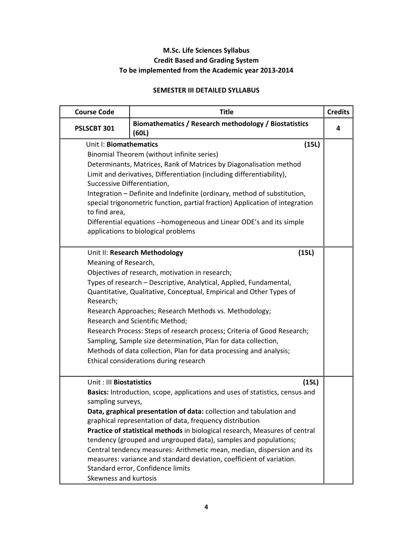# **M.Sc. Life Sciences Syllabus Credit Based and Grading System To be implemented from the Academic year 2013‐2014**

# **SEMESTER III DETAILED SYLLABUS**

| <b>Course Code</b>          | Title                                                                                                     |       | <b>Credits</b> |
|-----------------------------|-----------------------------------------------------------------------------------------------------------|-------|----------------|
| <b>PSLSCBT 301</b>          | Biomathematics / Research methodology / Biostatistics<br>(60L)                                            |       | 4              |
| Unit I: Biomathematics      |                                                                                                           | (15L) |                |
|                             | Binomial Theorem (without infinite series)                                                                |       |                |
|                             | Determinants, Matrices, Rank of Matrices by Diagonalisation method                                        |       |                |
|                             | Limit and derivatives, Differentiation (including differentiability),                                     |       |                |
| Successive Differentiation, |                                                                                                           |       |                |
|                             | Integration - Definite and Indefinite (ordinary, method of substitution,                                  |       |                |
|                             | special trigonometric function, partial fraction) Application of integration                              |       |                |
| to find area,               |                                                                                                           |       |                |
|                             | Differential equations --homogeneous and Linear ODE's and its simple                                      |       |                |
|                             | applications to biological problems                                                                       |       |                |
|                             | Unit II: Research Methodology                                                                             |       |                |
| Meaning of Research,        |                                                                                                           | (15L) |                |
|                             | Objectives of research, motivation in research;                                                           |       |                |
|                             | Types of research - Descriptive, Analytical, Applied, Fundamental,                                        |       |                |
|                             | Quantitative, Qualitative, Conceptual, Empirical and Other Types of                                       |       |                |
| Research;                   |                                                                                                           |       |                |
|                             | Research Approaches; Research Methods vs. Methodology;                                                    |       |                |
|                             | Research and Scientific Method;                                                                           |       |                |
|                             | Research Process: Steps of research process; Criteria of Good Research;                                   |       |                |
|                             | Sampling, Sample size determination, Plan for data collection,                                            |       |                |
|                             | Methods of data collection, Plan for data processing and analysis;                                        |       |                |
|                             | Ethical considerations during research                                                                    |       |                |
|                             |                                                                                                           |       |                |
| Unit: III Biostatistics     |                                                                                                           | (15L) |                |
|                             | Basics: Introduction, scope, applications and uses of statistics, census and                              |       |                |
| sampling surveys,           |                                                                                                           |       |                |
|                             | Data, graphical presentation of data: collection and tabulation and                                       |       |                |
|                             | graphical representation of data, frequency distribution                                                  |       |                |
|                             | Practice of statistical methods in biological research, Measures of central                               |       |                |
|                             | tendency (grouped and ungrouped data), samples and populations;                                           |       |                |
|                             | Central tendency measures: Arithmetic mean, median, dispersion and its                                    |       |                |
|                             | measures: variance and standard deviation, coefficient of variation.<br>Standard error, Confidence limits |       |                |
| Skewness and kurtosis       |                                                                                                           |       |                |
|                             |                                                                                                           |       |                |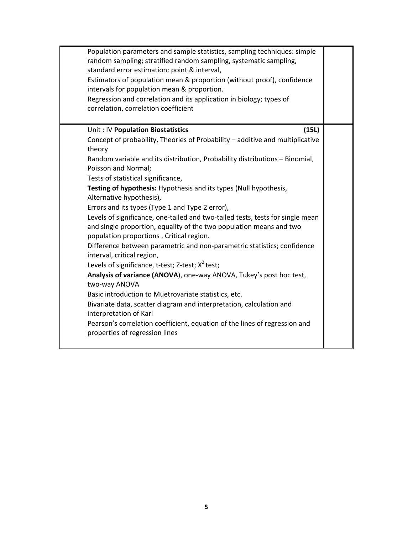| random sampling; stratified random sampling, systematic sampling,<br>standard error estimation: point & interval,<br>Estimators of population mean & proportion (without proof), confidence<br>intervals for population mean & proportion.<br>Regression and correlation and its application in biology; types of<br>correlation, correlation coefficient                                                                                                                                                                                                                                                                                                                                                                                                                                                                                                                                                                                                                                                                                                                                                                                                                            |  |
|--------------------------------------------------------------------------------------------------------------------------------------------------------------------------------------------------------------------------------------------------------------------------------------------------------------------------------------------------------------------------------------------------------------------------------------------------------------------------------------------------------------------------------------------------------------------------------------------------------------------------------------------------------------------------------------------------------------------------------------------------------------------------------------------------------------------------------------------------------------------------------------------------------------------------------------------------------------------------------------------------------------------------------------------------------------------------------------------------------------------------------------------------------------------------------------|--|
| (15L)<br>Unit: IV Population Biostatistics<br>Concept of probability, Theories of Probability - additive and multiplicative<br>theory<br>Random variable and its distribution, Probability distributions - Binomial,<br>Poisson and Normal;<br>Tests of statistical significance,<br>Testing of hypothesis: Hypothesis and its types (Null hypothesis,<br>Alternative hypothesis),<br>Errors and its types (Type 1 and Type 2 error),<br>Levels of significance, one-tailed and two-tailed tests, tests for single mean<br>and single proportion, equality of the two population means and two<br>population proportions, Critical region.<br>Difference between parametric and non-parametric statistics; confidence<br>interval, critical region,<br>Levels of significance, t-test; Z-test; X <sup>2</sup> test;<br>Analysis of variance (ANOVA), one-way ANOVA, Tukey's post hoc test,<br>two-way ANOVA<br>Basic introduction to Muetrovariate statistics, etc.<br>Bivariate data, scatter diagram and interpretation, calculation and<br>interpretation of Karl<br>Pearson's correlation coefficient, equation of the lines of regression and<br>properties of regression lines |  |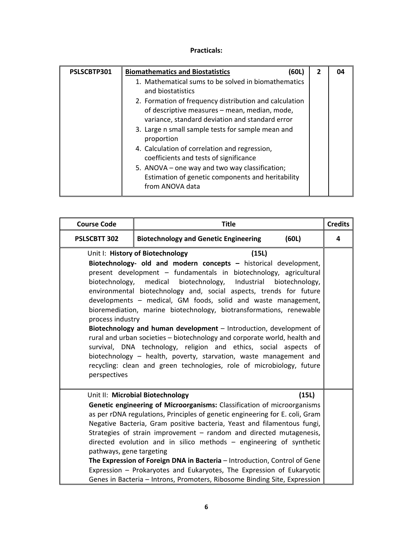| PSLSCBTP301 | <b>Biomathematics and Biostatistics</b><br>(60L                                                                                                                                                                                                                                                                                                                                                                                                    | 2 | 04 |
|-------------|----------------------------------------------------------------------------------------------------------------------------------------------------------------------------------------------------------------------------------------------------------------------------------------------------------------------------------------------------------------------------------------------------------------------------------------------------|---|----|
|             | 1. Mathematical sums to be solved in biomathematics<br>and biostatistics                                                                                                                                                                                                                                                                                                                                                                           |   |    |
|             | 2. Formation of frequency distribution and calculation<br>of descriptive measures - mean, median, mode,<br>variance, standard deviation and standard error<br>3. Large n small sample tests for sample mean and<br>proportion<br>4. Calculation of correlation and regression,<br>coefficients and tests of significance<br>5. ANOVA – one way and two way classification;<br>Estimation of genetic components and heritability<br>from ANOVA data |   |    |

| <b>Course Code</b>                                 | <b>Title</b>                                                                                                                                                                                                                                                                                                                                                                                                                                                                                                                                                                                                                                                                                                                                                                                                  |                | <b>Credits</b> |
|----------------------------------------------------|---------------------------------------------------------------------------------------------------------------------------------------------------------------------------------------------------------------------------------------------------------------------------------------------------------------------------------------------------------------------------------------------------------------------------------------------------------------------------------------------------------------------------------------------------------------------------------------------------------------------------------------------------------------------------------------------------------------------------------------------------------------------------------------------------------------|----------------|----------------|
| PSLSCBTT 302                                       | <b>Biotechnology and Genetic Engineering</b>                                                                                                                                                                                                                                                                                                                                                                                                                                                                                                                                                                                                                                                                                                                                                                  | (60L)          | 4              |
| biotechnology,<br>process industry<br>perspectives | Unit I: History of Biotechnology<br>(15L)<br>Biotechnology- old and modern concepts - historical development,<br>present development - fundamentals in biotechnology, agricultural<br>medical<br>biotechnology, Industrial<br>environmental biotechnology and, social aspects, trends for future<br>developments - medical, GM foods, solid and waste management,<br>bioremediation, marine biotechnology, biotransformations, renewable<br>Biotechnology and human development - Introduction, development of<br>rural and urban societies - biotechnology and corporate world, health and<br>survival, DNA technology, religion and ethics, social aspects of<br>biotechnology - health, poverty, starvation, waste management and<br>recycling: clean and green technologies, role of microbiology, future | biotechnology, |                |
| pathways, gene targeting                           | Unit II: Microbial Biotechnology<br>Genetic engineering of Microorganisms: Classification of microorganisms<br>as per rDNA regulations, Principles of genetic engineering for E. coli, Gram<br>Negative Bacteria, Gram positive bacteria, Yeast and filamentous fungi,<br>Strategies of strain improvement - random and directed mutagenesis,<br>directed evolution and in silico methods - engineering of synthetic<br>The Expression of Foreign DNA in Bacteria - Introduction, Control of Gene<br>Expression - Prokaryotes and Eukaryotes, The Expression of Eukaryotic<br>Genes in Bacteria - Introns, Promoters, Ribosome Binding Site, Expression                                                                                                                                                       | (15L)          |                |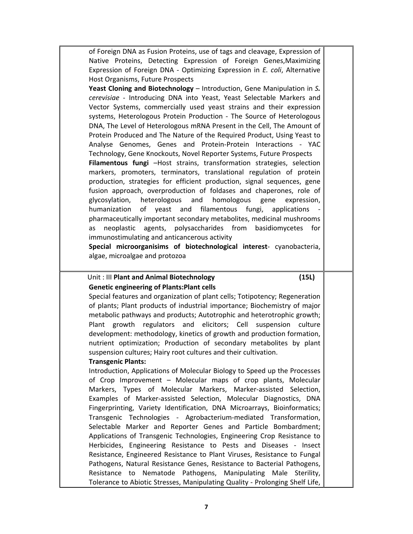of Foreign DNA as Fusion Proteins, use of tags and cleavage, Expression of Native Proteins, Detecting Expression of Foreign Genes,Maximizing Expression of Foreign DNA ‐ Optimizing Expression in *E. coli*, Alternative Host Organisms, Future Prospects **Yeast Cloning and Biotechnology** – Introduction, Gene Manipulation in *S. cerevisiae* ‐ Introducing DNA into Yeast, Yeast Selectable Markers and Vector Systems, commercially used yeast strains and their expression systems, Heterologous Protein Production ‐ The Source of Heterologous DNA, The Level of Heterologous mRNA Present in the Cell, The Amount of Protein Produced and The Nature of the Required Product, Using Yeast to Analyse Genomes, Genes and Protein‐Protein Interactions ‐ YAC Technology, Gene Knockouts, Novel Reporter Systems, Future Prospects **Filamentous fungi** –Host strains, transformation strategies, selection markers, promoters, terminators, translational regulation of protein production, strategies for efficient production, signal sequences, gene fusion approach, overproduction of foldases and chaperones, role of glycosylation, heterologous and homologous gene expression, humanization of yeast and filamentous fungi, applications pharmaceutically important secondary metabolites, medicinal mushrooms as neoplastic agents, polysaccharides from basidiomycetes for immunostimulating and anticancerous activity **Special microorganisims of biotechnological interest**‐ cyanobacteria,

algae, microalgae and protozoa

# Unit : III **Plant and Animal Biotechnology (15L) Genetic engineering of Plants:Plant cells**

Special features and organization of plant cells; Totipotency; Regeneration of plants; Plant products of industrial importance; Biochemistry of major metabolic pathways and products; Autotrophic and heterotrophic growth; Plant growth regulators and elicitors; Cell suspension culture development: methodology, kinetics of growth and production formation, nutrient optimization; Production of secondary metabolites by plant suspension cultures; Hairy root cultures and their cultivation.

#### **Transgenic Plants:**

Introduction, Applications of Molecular Biology to Speed up the Processes of Crop Improvement – Molecular maps of crop plants, Molecular Markers, Types of Molecular Markers, Marker‐assisted Selection, Examples of Marker‐assisted Selection, Molecular Diagnostics, DNA Fingerprinting, Variety Identification, DNA Microarrays, Bioinformatics; Transgenic Technologies ‐ Agrobacterium‐mediated Transformation, Selectable Marker and Reporter Genes and Particle Bombardment; Applications of Transgenic Technologies, Engineering Crop Resistance to Herbicides, Engineering Resistance to Pests and Diseases - Insect Resistance, Engineered Resistance to Plant Viruses, Resistance to Fungal Pathogens, Natural Resistance Genes, Resistance to Bacterial Pathogens, Resistance to Nematode Pathogens, Manipulating Male Sterility, Tolerance to Abiotic Stresses, Manipulating Quality ‐ Prolonging Shelf Life,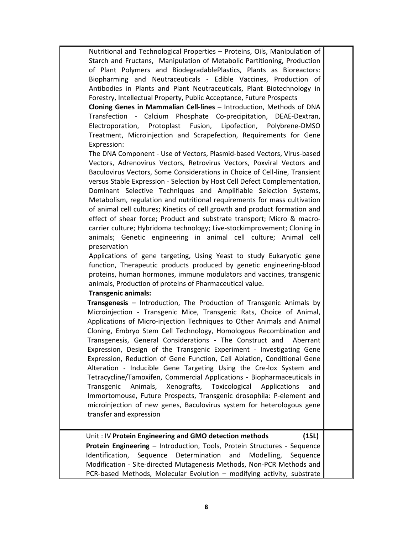Nutritional and Technological Properties – Proteins, Oils, Manipulation of Starch and Fructans, Manipulation of Metabolic Partitioning, Production of Plant Polymers and BiodegradablePlastics, Plants as Bioreactors: Biopharming and Neutraceuticals ‐ Edible Vaccines, Production of Antibodies in Plants and Plant Neutraceuticals, Plant Biotechnology in Forestry, Intellectual Property, Public Acceptance, Future Prospects

**Cloning Genes in Mammalian Cell‐lines –** Introduction, Methods of DNA Transfection - Calcium Phosphate Co-precipitation, DEAE-Dextran, Electroporation, Protoplast Fusion, Lipofection, Polybrene‐DMSO Treatment, Microinjection and Scrapefection, Requirements for Gene Expression:

The DNA Component ‐ Use of Vectors, Plasmid‐based Vectors, Virus‐based Vectors, Adrenovirus Vectors, Retrovirus Vectors, Poxviral Vectors and Baculovirus Vectors, Some Considerations in Choice of Cell‐line, Transient versus Stable Expression ‐ Selection by Host Cell Defect Complementation, Dominant Selective Techniques and Amplifiable Selection Systems, Metabolism, regulation and nutritional requirements for mass cultivation of animal cell cultures; Kinetics of cell growth and product formation and effect of shear force; Product and substrate transport; Micro & macro‐ carrier culture; Hybridoma technology; Live‐stockimprovement; Cloning in animals; Genetic engineering in animal cell culture; Animal cell preservation

Applications of gene targeting, Using Yeast to study Eukaryotic gene function, Therapeutic products produced by genetic engineering‐blood proteins, human hormones, immune modulators and vaccines, transgenic animals, Production of proteins of Pharmaceutical value.

#### **Transgenic animals:**

**Transgenesis –** Introduction, The Production of Transgenic Animals by Microinjection - Transgenic Mice, Transgenic Rats, Choice of Animal, Applications of Micro‐injection Techniques to Other Animals and Animal Cloning, Embryo Stem Cell Technology, Homologous Recombination and Transgenesis, General Considerations ‐ The Construct and Aberrant Expression, Design of the Transgenic Experiment ‐ Investigating Gene Expression, Reduction of Gene Function, Cell Ablation, Conditional Gene Alteration - Inducible Gene Targeting Using the Cre-lox System and Tetracycline/Tamoxifen, Commercial Applications ‐ Biopharmaceuticals in Transgenic Animals, Xenografts, Toxicological Applications and Immortomouse, Future Prospects, Transgenic drosophila: P‐element and microinjection of new genes, Baculovirus system for heterologous gene transfer and expression

# Unit : IV **Protein Engineering and GMO detection methods (15L)**

**Protein Engineering –** Introduction, Tools, Protein Structures ‐ Sequence Identification, Sequence Determination and Modelling, Sequence Modification ‐ Site‐directed Mutagenesis Methods, Non‐PCR Methods and PCR-based Methods, Molecular Evolution – modifying activity, substrate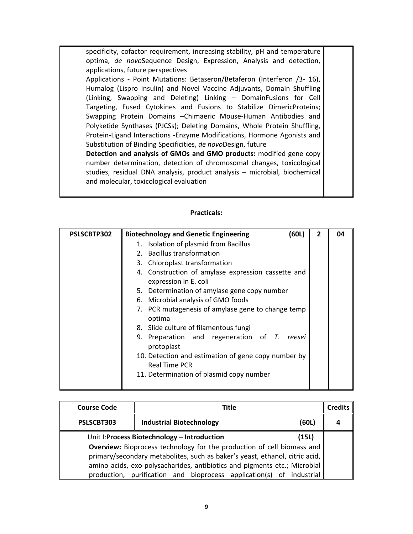specificity, cofactor requirement, increasing stability, pH and temperature optima, *de novo*Sequence Design, Expression, Analysis and detection, applications, future perspectives Applications - Point Mutations: Betaseron/Betaferon (Interferon /3- 16), Humalog (Lispro Insulin) and Novel Vaccine Adjuvants, Domain Shuffling (Linking, Swapping and Deleting) Linking – DomainFusions for Cell Targeting, Fused Cytokines and Fusions to Stabilize DimericProteins; Swapping Protein Domains –Chimaeric Mouse‐Human Antibodies and Polyketide Synthases (PJCSs); Deleting Domains, Whole Protein Shuffling, Protein‐Ligand Interactions ‐Enzyme Modifications, Hormone Agonists and Substitution of Binding Specificities, *de novo*Design, future **Detection and analysis of GMOs and GMO products:** modified gene copy number determination, detection of chromosomal changes, toxicological studies, residual DNA analysis, product analysis – microbial, biochemical and molecular, toxicological evaluation

| PSLSCBTP302 | (60L)<br><b>Biotechnology and Genetic Engineering</b>                       | $\overline{2}$ | 04 |
|-------------|-----------------------------------------------------------------------------|----------------|----|
|             | 1. Isolation of plasmid from Bacillus                                       |                |    |
|             | 2. Bacillus transformation                                                  |                |    |
|             | 3. Chloroplast transformation                                               |                |    |
|             | 4. Construction of amylase expression cassette and<br>expression in E. coli |                |    |
|             | 5. Determination of amylase gene copy number                                |                |    |
|             | 6. Microbial analysis of GMO foods                                          |                |    |
|             | 7. PCR mutagenesis of amylase gene to change temp<br>optima                 |                |    |
|             | 8. Slide culture of filamentous fungi                                       |                |    |
|             | 9. Preparation and regeneration of T. reesei<br>protoplast                  |                |    |
|             | 10. Detection and estimation of gene copy number by<br><b>Real Time PCR</b> |                |    |
|             | 11. Determination of plasmid copy number                                    |                |    |

| <b>Course Code</b> | <b>Title</b>                                                                  |       | <b>Credits</b> |
|--------------------|-------------------------------------------------------------------------------|-------|----------------|
| PSLSCBT303         | <b>Industrial Biotechnology</b>                                               | (60L) |                |
|                    | Unit I: Process Biotechnology - Introduction                                  | (15L) |                |
|                    | <b>Overview:</b> Bioprocess technology for the production of cell biomass and |       |                |
|                    | primary/secondary metabolites, such as baker's yeast, ethanol, citric acid,   |       |                |
|                    | amino acids, exo-polysacharides, antibiotics and pigments etc.; Microbial     |       |                |
|                    | production, purification and bioprocess application(s) of industrial          |       |                |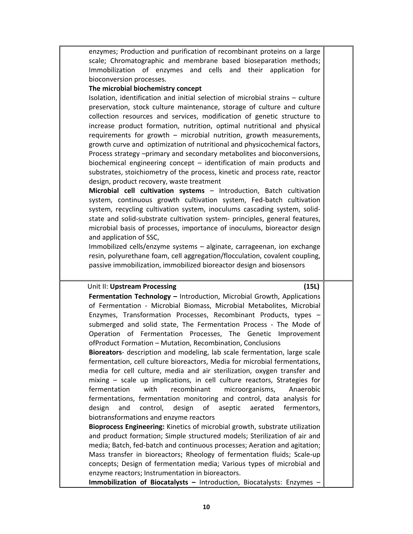| scale; Chromatographic and membrane based bioseparation methods;<br>Immobilization of enzymes and cells and their application<br>for                                                                                                                                                                                                                                                                                                                                                                                                                                                                                                                                                                                                                                                                                                                                                                                                                                                                                                                                                                                                                                                                                                             |  |
|--------------------------------------------------------------------------------------------------------------------------------------------------------------------------------------------------------------------------------------------------------------------------------------------------------------------------------------------------------------------------------------------------------------------------------------------------------------------------------------------------------------------------------------------------------------------------------------------------------------------------------------------------------------------------------------------------------------------------------------------------------------------------------------------------------------------------------------------------------------------------------------------------------------------------------------------------------------------------------------------------------------------------------------------------------------------------------------------------------------------------------------------------------------------------------------------------------------------------------------------------|--|
| bioconversion processes.                                                                                                                                                                                                                                                                                                                                                                                                                                                                                                                                                                                                                                                                                                                                                                                                                                                                                                                                                                                                                                                                                                                                                                                                                         |  |
| The microbial biochemistry concept                                                                                                                                                                                                                                                                                                                                                                                                                                                                                                                                                                                                                                                                                                                                                                                                                                                                                                                                                                                                                                                                                                                                                                                                               |  |
| Isolation, identification and initial selection of microbial strains - culture<br>preservation, stock culture maintenance, storage of culture and culture<br>collection resources and services, modification of genetic structure to<br>increase product formation, nutrition, optimal nutritional and physical<br>requirements for growth - microbial nutrition, growth measurements,<br>growth curve and optimization of nutritional and physicochemical factors,<br>Process strategy -primary and secondary metabolites and bioconversions,<br>biochemical engineering concept $-$ identification of main products and<br>substrates, stoichiometry of the process, kinetic and process rate, reactor<br>design, product recovery, waste treatment<br>Microbial cell cultivation systems - Introduction, Batch cultivation<br>system, continuous growth cultivation system, Fed-batch cultivation<br>system, recycling cultivation system, inoculums cascading system, solid-<br>state and solid-substrate cultivation system- principles, general features,<br>microbial basis of processes, importance of inoculums, bioreactor design<br>and application of SSC,<br>Immobilized cells/enzyme systems - alginate, carrageenan, ion exchange |  |
| resin, polyurethane foam, cell aggregation/flocculation, covalent coupling,                                                                                                                                                                                                                                                                                                                                                                                                                                                                                                                                                                                                                                                                                                                                                                                                                                                                                                                                                                                                                                                                                                                                                                      |  |
| passive immobilization, immobilized bioreactor design and biosensors                                                                                                                                                                                                                                                                                                                                                                                                                                                                                                                                                                                                                                                                                                                                                                                                                                                                                                                                                                                                                                                                                                                                                                             |  |
|                                                                                                                                                                                                                                                                                                                                                                                                                                                                                                                                                                                                                                                                                                                                                                                                                                                                                                                                                                                                                                                                                                                                                                                                                                                  |  |
| Unit II: Upstream Processing<br>(15L)                                                                                                                                                                                                                                                                                                                                                                                                                                                                                                                                                                                                                                                                                                                                                                                                                                                                                                                                                                                                                                                                                                                                                                                                            |  |
| Fermentation Technology - Introduction, Microbial Growth, Applications<br>of Fermentation - Microbial Biomass, Microbial Metabolites, Microbial<br>Enzymes, Transformation Processes, Recombinant Products, types -                                                                                                                                                                                                                                                                                                                                                                                                                                                                                                                                                                                                                                                                                                                                                                                                                                                                                                                                                                                                                              |  |
| submerged and solid state, The Fermentation Process - The Mode of<br>Operation of Fermentation Processes, The Genetic Improvement<br>ofProduct Formation - Mutation, Recombination, Conclusions                                                                                                                                                                                                                                                                                                                                                                                                                                                                                                                                                                                                                                                                                                                                                                                                                                                                                                                                                                                                                                                  |  |
| Bioreators- description and modeling, lab scale fermentation, large scale<br>fermentation, cell culture bioreactors, Media for microbial fermentations,<br>media for cell culture, media and air sterilization, oxygen transfer and                                                                                                                                                                                                                                                                                                                                                                                                                                                                                                                                                                                                                                                                                                                                                                                                                                                                                                                                                                                                              |  |
| mixing - scale up implications, in cell culture reactors, Strategies for<br>fermentation<br>with<br>recombinant<br>microorganisms,<br>Anaerobic<br>fermentations, fermentation monitoring and control, data analysis for                                                                                                                                                                                                                                                                                                                                                                                                                                                                                                                                                                                                                                                                                                                                                                                                                                                                                                                                                                                                                         |  |
| design<br>and<br>control,<br>of<br>aseptic<br>aerated<br>fermentors,<br>design<br>biotransformations and enzyme reactors                                                                                                                                                                                                                                                                                                                                                                                                                                                                                                                                                                                                                                                                                                                                                                                                                                                                                                                                                                                                                                                                                                                         |  |
|                                                                                                                                                                                                                                                                                                                                                                                                                                                                                                                                                                                                                                                                                                                                                                                                                                                                                                                                                                                                                                                                                                                                                                                                                                                  |  |
| Bioprocess Engineering: Kinetics of microbial growth, substrate utilization<br>and product formation; Simple structured models; Sterilization of air and<br>media; Batch, fed-batch and continuous processes; Aeration and agitation;                                                                                                                                                                                                                                                                                                                                                                                                                                                                                                                                                                                                                                                                                                                                                                                                                                                                                                                                                                                                            |  |
| Mass transfer in bioreactors; Rheology of fermentation fluids; Scale-up<br>concepts; Design of fermentation media; Various types of microbial and                                                                                                                                                                                                                                                                                                                                                                                                                                                                                                                                                                                                                                                                                                                                                                                                                                                                                                                                                                                                                                                                                                |  |
| enzyme reactors; Instrumentation in bioreactors.                                                                                                                                                                                                                                                                                                                                                                                                                                                                                                                                                                                                                                                                                                                                                                                                                                                                                                                                                                                                                                                                                                                                                                                                 |  |

enzymes; Production and purification of recombinant proteins on a large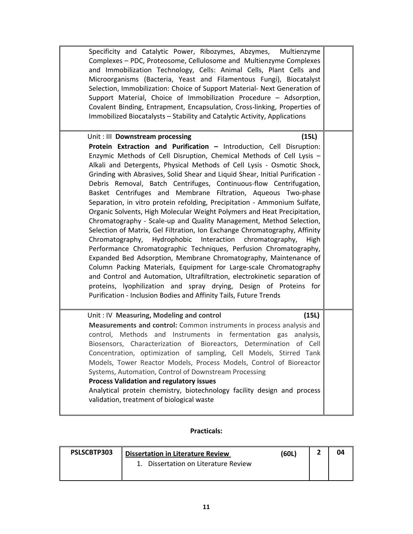| Specificity and Catalytic Power, Ribozymes, Abzymes,<br>Multienzyme<br>Complexes - PDC, Proteosome, Cellulosome and Multienzyme Complexes<br>and Immobilization Technology, Cells: Animal Cells, Plant Cells and<br>Microorganisms (Bacteria, Yeast and Filamentous Fungi), Biocatalyst<br>Selection, Immobilization: Choice of Support Material- Next Generation of<br>Support Material, Choice of Immobilization Procedure - Adsorption,<br>Covalent Binding, Entrapment, Encapsulation, Cross-linking, Properties of<br>Immobilized Biocatalysts - Stability and Catalytic Activity, Applications                                                                                                                                                                                                                                                                                                                                                                                                                                                                                                                                                                                                                                                                                                                       |
|----------------------------------------------------------------------------------------------------------------------------------------------------------------------------------------------------------------------------------------------------------------------------------------------------------------------------------------------------------------------------------------------------------------------------------------------------------------------------------------------------------------------------------------------------------------------------------------------------------------------------------------------------------------------------------------------------------------------------------------------------------------------------------------------------------------------------------------------------------------------------------------------------------------------------------------------------------------------------------------------------------------------------------------------------------------------------------------------------------------------------------------------------------------------------------------------------------------------------------------------------------------------------------------------------------------------------|
| Unit: III Downstream processing<br>(15L)<br>Protein Extraction and Purification - Introduction, Cell Disruption:<br>Enzymic Methods of Cell Disruption, Chemical Methods of Cell Lysis -<br>Alkali and Detergents, Physical Methods of Cell Lysis - Osmotic Shock,<br>Grinding with Abrasives, Solid Shear and Liquid Shear, Initial Purification -<br>Debris Removal, Batch Centrifuges, Continuous-flow Centrifugation,<br>Basket Centrifuges and Membrane Filtration, Aqueous Two-phase<br>Separation, in vitro protein refolding, Precipitation - Ammonium Sulfate,<br>Organic Solvents, High Molecular Weight Polymers and Heat Precipitation,<br>Chromatography - Scale-up and Quality Management, Method Selection,<br>Selection of Matrix, Gel Filtration, Ion Exchange Chromatography, Affinity<br>Hydrophobic<br>Interaction<br>Chromatography,<br>chromatography,<br>High<br>Performance Chromatographic Techniques, Perfusion Chromatography,<br>Expanded Bed Adsorption, Membrane Chromatography, Maintenance of<br>Column Packing Materials, Equipment for Large-scale Chromatography<br>and Control and Automation, Ultrafiltration, electrokinetic separation of<br>proteins, lyophilization and spray drying, Design of Proteins for<br>Purification - Inclusion Bodies and Affinity Tails, Future Trends |
| Unit: IV Measuring, Modeling and control<br>(15L)<br>Measurements and control: Common instruments in process analysis and<br>control, Methods and Instruments in fermentation gas<br>analysis,<br>Biosensors, Characterization of Bioreactors, Determination<br>of Cell<br>Concentration, optimization of sampling, Cell Models, Stirred Tank<br>Models, Tower Reactor Models, Process Models, Control of Bioreactor<br>Systems, Automation, Control of Downstream Processing<br><b>Process Validation and regulatory issues</b><br>Analytical protein chemistry, biotechnology facility design and process<br>validation, treatment of biological waste                                                                                                                                                                                                                                                                                                                                                                                                                                                                                                                                                                                                                                                                   |

| PSLSCBTP303 | <b>Dissertation in Literature Review</b> | (60L) |  |
|-------------|------------------------------------------|-------|--|
|             | Dissertation on Literature Review        |       |  |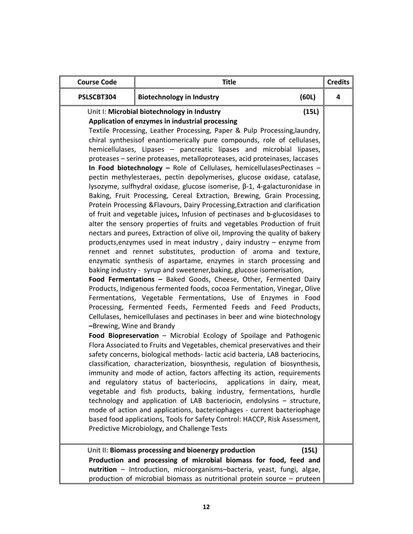| <b>Course Code</b>        | <b>Title</b>                                                                                                                                                                                                                                                                                                                                                                                                                                                                                                                                                                                                                                                                                                                                                                                                                                                                                                                                                                                                                                                                                                                                                                                                                                                                                                                                                                                                                                                                                                                                                                                                                                                                                                                                                                                                                                                                                                                                                                                                                                                                                                                                                                                                                                                                                                                                                                                                                                                                                                                                       |       | <b>Credits</b> |
|---------------------------|----------------------------------------------------------------------------------------------------------------------------------------------------------------------------------------------------------------------------------------------------------------------------------------------------------------------------------------------------------------------------------------------------------------------------------------------------------------------------------------------------------------------------------------------------------------------------------------------------------------------------------------------------------------------------------------------------------------------------------------------------------------------------------------------------------------------------------------------------------------------------------------------------------------------------------------------------------------------------------------------------------------------------------------------------------------------------------------------------------------------------------------------------------------------------------------------------------------------------------------------------------------------------------------------------------------------------------------------------------------------------------------------------------------------------------------------------------------------------------------------------------------------------------------------------------------------------------------------------------------------------------------------------------------------------------------------------------------------------------------------------------------------------------------------------------------------------------------------------------------------------------------------------------------------------------------------------------------------------------------------------------------------------------------------------------------------------------------------------------------------------------------------------------------------------------------------------------------------------------------------------------------------------------------------------------------------------------------------------------------------------------------------------------------------------------------------------------------------------------------------------------------------------------------------------|-------|----------------|
| PSLSCBT304                | <b>Biotechnology in Industry</b>                                                                                                                                                                                                                                                                                                                                                                                                                                                                                                                                                                                                                                                                                                                                                                                                                                                                                                                                                                                                                                                                                                                                                                                                                                                                                                                                                                                                                                                                                                                                                                                                                                                                                                                                                                                                                                                                                                                                                                                                                                                                                                                                                                                                                                                                                                                                                                                                                                                                                                                   | (60L) | 4              |
| -Brewing, Wine and Brandy | Unit I: Microbial biotechnology in Industry<br>Application of enzymes in industrial processing<br>Textile Processing, Leather Processing, Paper & Pulp Processing, laundry,<br>chiral synthesisof enantiomerically pure compounds, role of cellulases,<br>hemicellulases, Lipases - pancreatic lipases and microbial lipases,<br>proteases - serine proteases, metalloproteases, acid proteinases, laccases<br>In Food biotechnology - Role of Cellulases, hemicellulasesPectinases -<br>pectin methylesteraes, pectin depolymerises, glucose oxidase, catalase,<br>lysozyme, sulfhydral oxidase, glucose isomerise, β-1, 4-galacturonidase in<br>Baking, Fruit Processing, Cereal Extraction, Brewing, Grain Processing,<br>Protein Processing & Flavours, Dairy Processing, Extraction and clarification<br>of fruit and vegetable juices, Infusion of pectinases and b-glucosidases to<br>alter the sensory properties of fruits and vegetables Production of fruit<br>nectars and purees, Extraction of olive oil, Improving the quality of bakery<br>products, enzymes used in meat industry, dairy industry - enzyme from<br>rennet and rennet substitutes, production of aroma and texture,<br>enzymatic synthesis of aspartame, enzymes in starch processing and<br>baking industry - syrup and sweetener, baking, glucose isomerisation,<br>Food Fermentations - Baked Goods, Cheese, Other, Fermented Dairy<br>Products, Indigenous fermented foods, cocoa Fermentation, Vinegar, Olive<br>Fermentations, Vegetable Fermentations, Use of Enzymes in Food<br>Processing, Fermented Feeds, Fermented Feeds and Feed Products,<br>Cellulases, hemicellulases and pectinases in beer and wine biotechnology<br>Food Biopreservation - Microbial Ecology of Spoilage and Pathogenic<br>Flora Associated to Fruits and Vegetables, chemical preservatives and their<br>safety concerns, biological methods-lactic acid bacteria, LAB bacteriocins,<br>classification, characterization, biosynthesis, regulation of biosynthesis,<br>immunity and mode of action, factors affecting its action, requirements<br>and regulatory status of bacteriocins, applications in dairy, meat,<br>vegetable and fish products, baking industry, fermentations, hurdle<br>technology and application of LAB bacteriocin, endolysins - structure,<br>mode of action and applications, bacteriophages - current bacteriophage<br>based food applications, Tools for Safety Control: HACCP, Risk Assessment,<br>Predictive Microbiology, and Challenge Tests | (15L) |                |
|                           | Unit II: Biomass processing and bioenergy production<br>Production and processing of microbial biomass for food, feed and<br>nutrition - Introduction, microorganisms-bacteria, yeast, fungi, algae,<br>production of microbial biomass as nutritional protein source $-$ pruteen                                                                                                                                                                                                                                                                                                                                                                                                                                                                                                                                                                                                                                                                                                                                                                                                                                                                                                                                                                                                                                                                                                                                                                                                                                                                                                                                                                                                                                                                                                                                                                                                                                                                                                                                                                                                                                                                                                                                                                                                                                                                                                                                                                                                                                                                  | (15L) |                |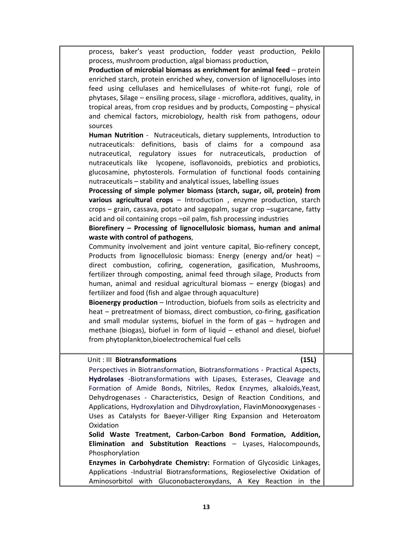process, baker's yeast production, fodder yeast production, Pekilo process, mushroom production, algal biomass production,

**Production of microbial biomass as enrichment for animal feed** – protein enriched starch, protein enriched whey, conversion of lignocelluloses into feed using cellulases and hemicellulases of white-rot fungi, role of phytases, Silage – ensiling process, silage ‐ microflora, additives, quality, in tropical areas, from crop residues and by products, Composting – physical and chemical factors, microbiology, health risk from pathogens, odour sources

**Human Nutrition** ‐ Nutraceuticals, dietary supplements, Introduction to nutraceuticals: definitions, basis of claims for a compound asa nutraceutical, regulatory issues for nutraceuticals, production of nutraceuticals like lycopene, isoflavonoids, prebiotics and probiotics, glucosamine, phytosterols. Formulation of functional foods containing nutraceuticals – stability and analytical issues, labelling issues

**Processing of simple polymer biomass (starch, sugar, oil, protein) from various agricultural crops** – Introduction , enzyme production, starch crops – grain, cassava, potato and sagopalm, sugar crop –sugarcane, fatty acid and oil containing crops –oil palm, fish processing industries

**Biorefinery – Processing of lignocellulosic biomass, human and animal waste with control of pathogens**,

Community involvement and joint venture capital, Bio‐refinery concept, Products from lignocellulosic biomass: Energy (energy and/or heat) – direct combustion, cofiring, cogeneration, gasification, Mushrooms, fertilizer through composting, animal feed through silage, Products from human, animal and residual agricultural biomass – energy (biogas) and fertilizer and food (fish and algae through aquaculture)

**Bioenergy production** – Introduction, biofuels from soils as electricity and heat – pretreatment of biomass, direct combustion, co-firing, gasification and small modular systems, biofuel in the form of gas – hydrogen and methane (biogas), biofuel in form of liquid – ethanol and diesel, biofuel from phytoplankton,bioelectrochemical fuel cells

#### Unit : III **Biotransformations** (15L)

Perspectives in Biotransformation, Biotransformations ‐ Practical Aspects, **Hydrolases** ‐Biotransformations with Lipases, Esterases, Cleavage and Formation of Amide Bonds, Nitriles, Redox Enzymes, alkaloids,Yeast, Dehydrogenases - Characteristics, Design of Reaction Conditions, and Applications, Hydroxylation and Dihydroxylation, FlavinMonooxygenases ‐ Uses as Catalysts for Baeyer‐Villiger Ring Expansion and Heteroatom Oxidation

**Solid Waste Treatment, Carbon‐Carbon Bond Formation, Addition, Elimination and Substitution Reactions** – Lyases, Halocompounds, Phosphorylation

**Enzymes in Carbohydrate Chemistry:** Formation of Glycosidic Linkages, Applications ‐Industrial Biotransformations, Regioselective Oxidation of Aminosorbitol with Gluconobacteroxydans, A Key Reaction in the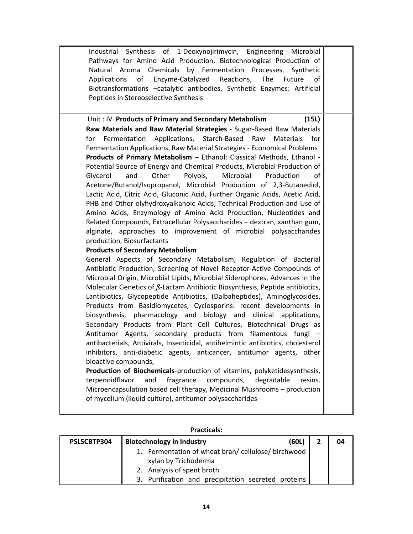Industrial Synthesis of 1‐Deoxynojirimycin, Engineering Microbial Pathways for Amino Acid Production, Biotechnological Production of Natural Aroma Chemicals by Fermentation Processes, Synthetic Applications of Enzyme‐Catalyzed Reactions, The Future of Biotransformations –catalytic antibodies, Synthetic Enzymes: Artificial Peptides in Stereoselective Synthesis

Unit : IV **Products of Primary and Secondary Metabolism (15L) Raw Materials and Raw Material Strategies** ‐ Sugar‐Based Raw Materials for Fermentation Applications, Starch‐Based Raw Materials for Fermentation Applications, Raw Material Strategies ‐ Economical Problems **Products of Primary Metabolism** – Ethanol: Classical Methods, Ethanol ‐ Potential Source of Energy and Chemical Products, Microbial Production of Glycerol and Other Polyols, Microbial Production of Acetone/Butanol/Isopropanol, Microbial Production of 2,3‐Butanediol, Lactic Acid, Citric Acid, Gluconic Acid, Further Organic Acids, Acetic Acid, PHB and Other olyhydroxyalkanoic Acids, Technical Production and Use of Amino Acids, Enzymology of Amino Acid Production, Nucleotides and Related Compounds, Extracellular Polysaccharides – dextran, xanthan gum, alginate, approaches to improvement of microbial polysaccharides production, Biosurfactants

#### **Products of Secondary Metabolism**

General Aspects of Secondary Metabolism, Regulation of Bacterial Antibiotic Production, Screening of Novel Receptor‐Active Compounds of Microbial Origin, Microbial Lipids, Microbial Siderophores, Advances in the Molecular Genetics of *ß*‐Lactam Antibiotic Biosynthesis, Peptide antibiotics, Lantibiotics, Glycopeptide Antibiotics, (Dalbaheptides), Aminoglycosides, Products from Basidiomycetes, Cyclosporins: recent developments in biosynthesis, pharmacology and biology and clinical applications, Secondary Products from Plant Cell Cultures, Biotechnical Drugs as Antitumor Agents, secondary products from filamentous fungi – antibacterials, Antivirals, Insecticidal, antihelmintic antibiotics, cholesterol inhibitors, anti-diabetic agents, anticancer, antitumor agents, other bioactive compounds,

**Production of Biochemicals**‐production of vitamins, polyketidesysnthesis, terpenoidflavor and fragrance compounds, degradable resins. Microencapsulation based cell therapy, Medicinal Mushrooms – production of mycelium (liquid culture), antitumor polysaccharides

| PSLSCBTP304 | (60L)<br><b>Biotechnology in Industry</b>           | 04 |
|-------------|-----------------------------------------------------|----|
|             | 1. Fermentation of wheat bran/cellulose/birchwood   |    |
|             | xylan by Trichoderma                                |    |
|             | 2. Analysis of spent broth                          |    |
|             | 3. Purification and precipitation secreted proteins |    |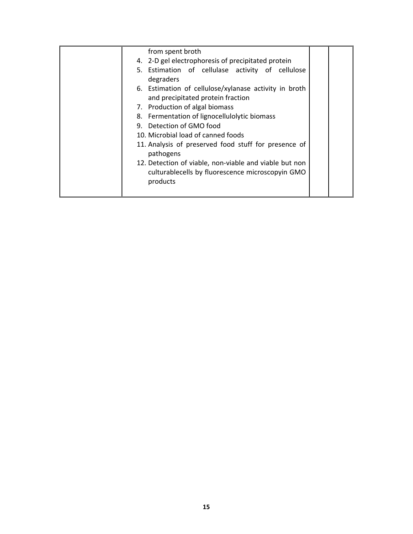| from spent broth                                                                                                       |  |
|------------------------------------------------------------------------------------------------------------------------|--|
| 4. 2-D gel electrophoresis of precipitated protein                                                                     |  |
| 5. Estimation of cellulase activity of cellulose<br>degraders                                                          |  |
| 6. Estimation of cellulose/xylanase activity in broth<br>and precipitated protein fraction                             |  |
| 7. Production of algal biomass                                                                                         |  |
| 8. Fermentation of lignocellulolytic biomass                                                                           |  |
| 9. Detection of GMO food                                                                                               |  |
| 10. Microbial load of canned foods                                                                                     |  |
| 11. Analysis of preserved food stuff for presence of<br>pathogens                                                      |  |
| 12. Detection of viable, non-viable and viable but non<br>culturablecells by fluorescence microscopyin GMO<br>products |  |
|                                                                                                                        |  |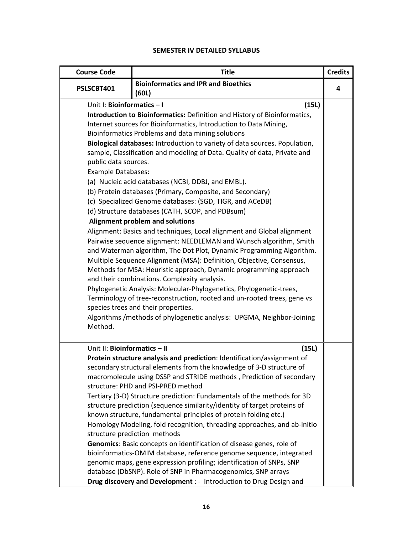### **SEMESTER IV DETAILED SYLLABUS**

| <b>Course Code</b>                                                                         | <b>Title</b>                                                                                                                                                                                                                                                                                                                                                                                                                                                                                                                                                                                                                                                                                                                                                                                                                                                                                                                                                                                                                                                                                                                                                                                                                                                                                                                          | <b>Credits</b> |
|--------------------------------------------------------------------------------------------|---------------------------------------------------------------------------------------------------------------------------------------------------------------------------------------------------------------------------------------------------------------------------------------------------------------------------------------------------------------------------------------------------------------------------------------------------------------------------------------------------------------------------------------------------------------------------------------------------------------------------------------------------------------------------------------------------------------------------------------------------------------------------------------------------------------------------------------------------------------------------------------------------------------------------------------------------------------------------------------------------------------------------------------------------------------------------------------------------------------------------------------------------------------------------------------------------------------------------------------------------------------------------------------------------------------------------------------|----------------|
| PSLSCBT401                                                                                 | <b>Bioinformatics and IPR and Bioethics</b><br>(60L)                                                                                                                                                                                                                                                                                                                                                                                                                                                                                                                                                                                                                                                                                                                                                                                                                                                                                                                                                                                                                                                                                                                                                                                                                                                                                  | 4              |
| Unit I: Bioinformatics - I<br>public data sources.<br><b>Example Databases:</b><br>Method. | (15L)<br>Introduction to Bioinformatics: Definition and History of Bioinformatics,<br>Internet sources for Bioinformatics, Introduction to Data Mining,<br>Bioinformatics Problems and data mining solutions<br>Biological databases: Introduction to variety of data sources. Population,<br>sample, Classification and modeling of Data. Quality of data, Private and<br>(a) Nucleic acid databases (NCBI, DDBJ, and EMBL).<br>(b) Protein databases (Primary, Composite, and Secondary)<br>(c) Specialized Genome databases: (SGD, TIGR, and ACeDB)<br>(d) Structure databases (CATH, SCOP, and PDBsum)<br>Alignment problem and solutions<br>Alignment: Basics and techniques, Local alignment and Global alignment<br>Pairwise sequence alignment: NEEDLEMAN and Wunsch algorithm, Smith<br>and Waterman algorithm, The Dot Plot, Dynamic Programming Algorithm.<br>Multiple Sequence Alignment (MSA): Definition, Objective, Consensus,<br>Methods for MSA: Heuristic approach, Dynamic programming approach<br>and their combinations. Complexity analysis.<br>Phylogenetic Analysis: Molecular-Phylogenetics, Phylogenetic-trees,<br>Terminology of tree-reconstruction, rooted and un-rooted trees, gene vs<br>species trees and their properties.<br>Algorithms / methods of phylogenetic analysis: UPGMA, Neighbor-Joining |                |
| Unit II: Bioinformatics - II                                                               | (15L)<br>Protein structure analysis and prediction: Identification/assignment of<br>secondary structural elements from the knowledge of 3-D structure of<br>macromolecule using DSSP and STRIDE methods, Prediction of secondary<br>structure: PHD and PSI-PRED method<br>Tertiary (3-D) Structure prediction: Fundamentals of the methods for 3D<br>structure prediction (sequence similarity/identity of target proteins of<br>known structure, fundamental principles of protein folding etc.)<br>Homology Modeling, fold recognition, threading approaches, and ab-initio<br>structure prediction methods<br>Genomics: Basic concepts on identification of disease genes, role of<br>bioinformatics-OMIM database, reference genome sequence, integrated<br>genomic maps, gene expression profiling; identification of SNPs, SNP<br>database (DbSNP). Role of SNP in Pharmacogenomics, SNP arrays<br>Drug discovery and Development : - Introduction to Drug Design and                                                                                                                                                                                                                                                                                                                                                           |                |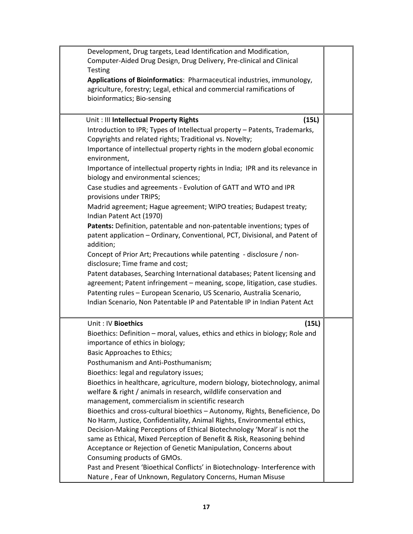| Development, Drug targets, Lead Identification and Modification,<br>Computer-Aided Drug Design, Drug Delivery, Pre-clinical and Clinical<br><b>Testing</b><br>Applications of Bioinformatics: Pharmaceutical industries, immunology,<br>agriculture, forestry; Legal, ethical and commercial ramifications of<br>bioinformatics; Bio-sensing                                                                                                                                                                                                                                                                                                                                                                                                                                                                                                                                                                                                                                                                                                                                                                                                                                                                      |  |
|-------------------------------------------------------------------------------------------------------------------------------------------------------------------------------------------------------------------------------------------------------------------------------------------------------------------------------------------------------------------------------------------------------------------------------------------------------------------------------------------------------------------------------------------------------------------------------------------------------------------------------------------------------------------------------------------------------------------------------------------------------------------------------------------------------------------------------------------------------------------------------------------------------------------------------------------------------------------------------------------------------------------------------------------------------------------------------------------------------------------------------------------------------------------------------------------------------------------|--|
| Unit: Ill Intellectual Property Rights<br>(15L)<br>Introduction to IPR; Types of Intellectual property - Patents, Trademarks,<br>Copyrights and related rights; Traditional vs. Novelty;<br>Importance of intellectual property rights in the modern global economic<br>environment,<br>Importance of intellectual property rights in India; IPR and its relevance in<br>biology and environmental sciences;<br>Case studies and agreements - Evolution of GATT and WTO and IPR<br>provisions under TRIPS;<br>Madrid agreement; Hague agreement; WIPO treaties; Budapest treaty;<br>Indian Patent Act (1970)<br>Patents: Definition, patentable and non-patentable inventions; types of<br>patent application - Ordinary, Conventional, PCT, Divisional, and Patent of<br>addition;<br>Concept of Prior Art; Precautions while patenting - disclosure / non-<br>disclosure; Time frame and cost;<br>Patent databases, Searching International databases; Patent licensing and<br>agreement; Patent infringement - meaning, scope, litigation, case studies.<br>Patenting rules - European Scenario, US Scenario, Australia Scenario,<br>Indian Scenario, Non Patentable IP and Patentable IP in Indian Patent Act |  |
| Unit: IV Bioethics<br>(15L)<br>Bioethics: Definition - moral, values, ethics and ethics in biology; Role and<br>importance of ethics in biology;<br>Basic Approaches to Ethics;<br>Posthumanism and Anti-Posthumanism;<br>Bioethics: legal and regulatory issues;<br>Bioethics in healthcare, agriculture, modern biology, biotechnology, animal<br>welfare & right / animals in research, wildlife conservation and<br>management, commercialism in scientific research<br>Bioethics and cross-cultural bioethics - Autonomy, Rights, Beneficience, Do<br>No Harm, Justice, Confidentiality, Animal Rights, Environmental ethics,<br>Decision-Making Perceptions of Ethical Biotechnology 'Moral' is not the<br>same as Ethical, Mixed Perception of Benefit & Risk, Reasoning behind<br>Acceptance or Rejection of Genetic Manipulation, Concerns about<br>Consuming products of GMOs.<br>Past and Present 'Bioethical Conflicts' in Biotechnology- Interference with<br>Nature, Fear of Unknown, Regulatory Concerns, Human Misuse                                                                                                                                                                             |  |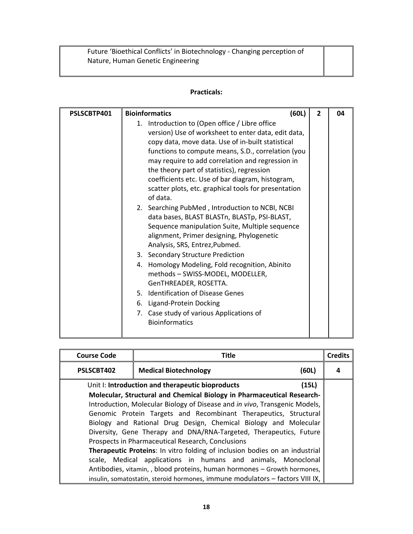Future 'Bioethical Conflicts' in Biotechnology - Changing perception of Nature, Human Genetic Engineering

| PSLSCBTP401 | (60L)<br><b>Bioinformatics</b>                                                                                                                                                                                                                                                                                                                                                                                                                                                                                                                                                                                                                                                                                                                                                                                                                                                                                                                                                 | $\overline{2}$ | 04 |
|-------------|--------------------------------------------------------------------------------------------------------------------------------------------------------------------------------------------------------------------------------------------------------------------------------------------------------------------------------------------------------------------------------------------------------------------------------------------------------------------------------------------------------------------------------------------------------------------------------------------------------------------------------------------------------------------------------------------------------------------------------------------------------------------------------------------------------------------------------------------------------------------------------------------------------------------------------------------------------------------------------|----------------|----|
|             | Introduction to (Open office / Libre office<br>1.<br>version) Use of worksheet to enter data, edit data,<br>copy data, move data. Use of in-built statistical<br>functions to compute means, S.D., correlation (you<br>may require to add correlation and regression in<br>the theory part of statistics), regression<br>coefficients etc. Use of bar diagram, histogram,<br>scatter plots, etc. graphical tools for presentation<br>of data.<br>2. Searching PubMed, Introduction to NCBI, NCBI<br>data bases, BLAST BLASTn, BLASTp, PSI-BLAST,<br>Sequence manipulation Suite, Multiple sequence<br>alignment, Primer designing, Phylogenetic<br>Analysis, SRS, Entrez, Pubmed.<br>3. Secondary Structure Prediction<br>4. Homology Modeling, Fold recognition, Abinito<br>methods - SWISS-MODEL, MODELLER,<br>GenTHREADER, ROSETTA.<br>5. Identification of Disease Genes<br>6. Ligand-Protein Docking<br>7. Case study of various Applications of<br><b>Bioinformatics</b> |                |    |
|             |                                                                                                                                                                                                                                                                                                                                                                                                                                                                                                                                                                                                                                                                                                                                                                                                                                                                                                                                                                                |                |    |

| <b>Course Code</b>                                                                 | Title                                                                         |       |  |  |  |  |
|------------------------------------------------------------------------------------|-------------------------------------------------------------------------------|-------|--|--|--|--|
| PSLSCBT402                                                                         | <b>Medical Biotechnology</b><br>(60L)                                         |       |  |  |  |  |
|                                                                                    | Unit I: Introduction and therapeutic bioproducts                              | (15L) |  |  |  |  |
|                                                                                    | Molecular, Structural and Chemical Biology in Pharmaceutical Research-        |       |  |  |  |  |
|                                                                                    | Introduction, Molecular Biology of Disease and in vivo, Transgenic Models,    |       |  |  |  |  |
|                                                                                    | Genomic Protein Targets and Recombinant Therapeutics, Structural              |       |  |  |  |  |
|                                                                                    | Biology and Rational Drug Design, Chemical Biology and Molecular              |       |  |  |  |  |
|                                                                                    | Diversity, Gene Therapy and DNA/RNA-Targeted, Therapeutics, Future            |       |  |  |  |  |
| Prospects in Pharmaceutical Research, Conclusions                                  |                                                                               |       |  |  |  |  |
| <b>Therapeutic Proteins:</b> In vitro folding of inclusion bodies on an industrial |                                                                               |       |  |  |  |  |
| scale, Medical applications in humans and animals, Monoclonal                      |                                                                               |       |  |  |  |  |
| Antibodies, vitamin, , blood proteins, human hormones - Growth hormones,           |                                                                               |       |  |  |  |  |
|                                                                                    | insulin, somatostatin, steroid hormones, immune modulators - factors VIII IX, |       |  |  |  |  |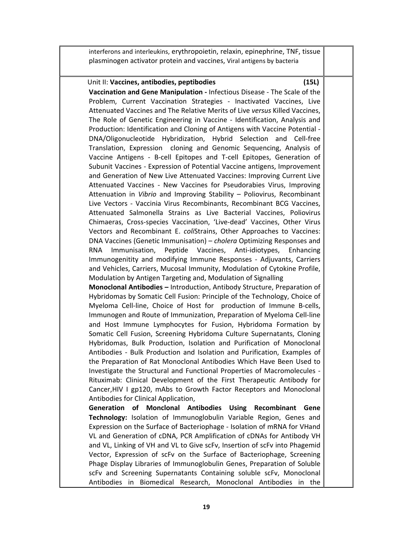interferons and interleukins, erythropoietin, relaxin, epinephrine, TNF, tissue plasminogen activator protein and vaccines, Viral antigens by bacteria

#### Unit II: Vaccines, antibodies, peptibodies<br>
(15L)

**Vaccination and Gene Manipulation ‐** Infectious Disease ‐ The Scale of the Problem, Current Vaccination Strategies ‐ Inactivated Vaccines, Live Attenuated Vaccines and The Relative Merits of Live *versus* Killed Vaccines, The Role of Genetic Engineering in Vaccine - Identification, Analysis and Production: Identification and Cloning of Antigens with Vaccine Potential ‐ DNA/Oligonucleotide Hybridization, Hybrid Selection and Cell‐free Translation, Expression cloning and Genomic Sequencing, Analysis of Vaccine Antigens ‐ B‐cell Epitopes and T‐cell Epitopes, Generation of Subunit Vaccines ‐ Expression of Potential Vaccine antigens, Improvement and Generation of New Live Attenuated Vaccines: Improving Current Live Attenuated Vaccines - New Vaccines for Pseudorabies Virus, Improving Attenuation in *Vibrio* and Improving Stability – Poliovirus, Recombinant Live Vectors - Vaccinia Virus Recombinants, Recombinant BCG Vaccines, Attenuated Salmonella Strains as Live Bacterial Vaccines, Poliovirus Chimaeras, Cross‐species Vaccination, 'Live‐dead' Vaccines, Other Virus Vectors and Recombinant E. *coli*Strains, Other Approaches to Vaccines: DNA Vaccines (Genetic Immunisation) – *cholera* Optimizing Responses and RNA Immunisation, Peptide Vaccines, Anti‐idiotypes, Enhancing Immunogenitity and modifying Immune Responses ‐ Adjuvants, Carriers and Vehicles, Carriers, Mucosal Immunity, Modulation of Cytokine Profile, Modulation by Antigen Targeting and, Modulation of Signalling **Monoclonal Antibodies –** Introduction, Antibody Structure, Preparation of

Hybridomas by Somatic Cell Fusion: Principle of the Technology, Choice of Myeloma Cell-line, Choice of Host for production of Immune B-cells, Immunogen and Route of Immunization, Preparation of Myeloma Cell‐line and Host Immune Lymphocytes for Fusion, Hybridoma Formation by Somatic Cell Fusion, Screening Hybridoma Culture Supernatants, Cloning Hybridomas, Bulk Production, Isolation and Purification of Monoclonal Antibodies ‐ Bulk Production and Isolation and Purification, Examples of the Preparation of Rat Monoclonal Antibodies Which Have Been Used to Investigate the Structural and Functional Properties of Macromolecules ‐ Rituximab: Clinical Development of the First Therapeutic Antibody for Cancer,HIV I gp120, mAbs to Growth Factor Receptors and Monoclonal Antibodies for Clinical Application,

**Generation of Monclonal Antibodies Using Recombinant Gene Technology:** Isolation of Immunoglobulin Variable Region, Genes and Expression on the Surface of Bacteriophage ‐ Isolation of mRNA for VHand VL and Generation of cDNA, PCR Amplification of cDNAs for Antibody VH and VL, Linking of VH and VL to Give scFv, Insertion of scFv into Phagemid Vector, Expression of scFv on the Surface of Bacteriophage, Screening Phage Display Libraries of Immunoglobulin Genes, Preparation of Soluble scFv and Screening Supernatants Containing soluble scFv, Monoclonal Antibodies in Biomedical Research, Monoclonal Antibodies in the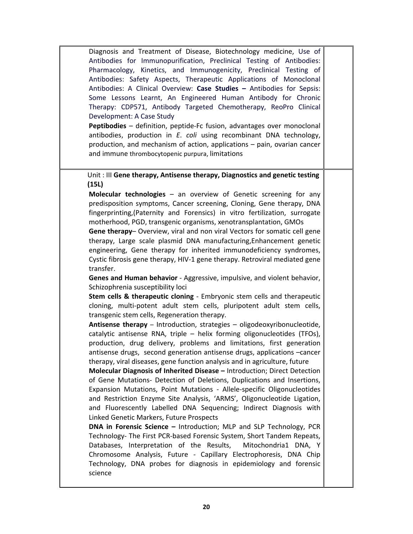Diagnosis and Treatment of Disease, Biotechnology medicine, Use of Antibodies for Immunopurification, Preclinical Testing of Antibodies: Pharmacology, Kinetics, and Immunogenicity, Preclinical Testing of Antibodies: Safety Aspects, Therapeutic Applications of Monoclonal Antibodies: A Clinical Overview: **Case Studies –** Antibodies for Sepsis: Some Lessons Learnt, An Engineered Human Antibody for Chronic Therapy: CDP571, Antibody Targeted Chemotherapy, ReoPro Clinical Development: A Case Study

**Peptibodies** – definition, peptide‐Fc fusion, advantages over monoclonal antibodies, production in *E*. *coli* using recombinant DNA technology, production, and mechanism of action, applications – pain, ovarian cancer and immune thrombocytopenic purpura, limitations

Unit : III **Gene therapy, Antisense therapy, Diagnostics and genetic testing (15L)**

**Molecular technologies** – an overview of Genetic screening for any predisposition symptoms, Cancer screening, Cloning, Gene therapy, DNA fingerprinting,(Paternity and Forensics) in vitro fertilization, surrogate motherhood, PGD, transgenic organisms, xenotransplantation, GMOs

**Gene therapy**– Overview, viral and non viral Vectors for somatic cell gene therapy, Large scale plasmid DNA manufacturing,Enhancement genetic engineering, Gene therapy for inherited immunodeficiency syndromes, Cystic fibrosis gene therapy, HIV‐1 gene therapy. Retroviral mediated gene transfer.

**Genes and Human behavior** ‐ Aggressive, impulsive, and violent behavior, Schizophrenia susceptibility loci

**Stem cells & therapeutic cloning** ‐ Embryonic stem cells and therapeutic cloning, multi‐potent adult stem cells, pluripotent adult stem cells, transgenic stem cells, Regeneration therapy.

**Antisense therapy** – Introduction, strategies – oligodeoxyribonucleotide, catalytic antisense RNA, triple – helix forming oligonucleotides (TFOs), production, drug delivery, problems and limitations, first generation antisense drugs, second generation antisense drugs, applications –cancer therapy, viral diseases, gene function analysis and in agriculture, future

**Molecular Diagnosis of Inherited Disease –** Introduction; Direct Detection of Gene Mutations‐ Detection of Deletions, Duplications and Insertions, Expansion Mutations, Point Mutations ‐ Allele‐specific Oligonucleotides and Restriction Enzyme Site Analysis, 'ARMS', Oligonucleotide Ligation, and Fluorescently Labelled DNA Sequencing; Indirect Diagnosis with Linked Genetic Markers, Future Prospects

**DNA in Forensic Science –** Introduction; MLP and SLP Technology, PCR Technology‐ The First PCR‐based Forensic System, Short Tandem Repeats, Databases, Interpretation of the Results, Mitochondria1 DNA, Y Chromosome Analysis, Future ‐ Capillary Electrophoresis, DNA Chip Technology, DNA probes for diagnosis in epidemiology and forensic science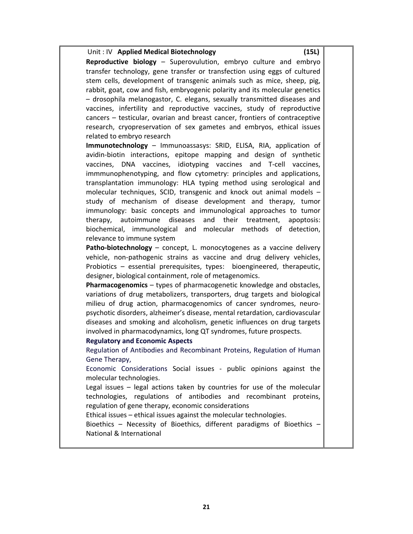| Unit: IV Applied Medical Biotechnology<br>(15L)                                      |
|--------------------------------------------------------------------------------------|
| Reproductive biology - Superovulution, embryo culture and embryo                     |
| transfer technology, gene transfer or transfection using eggs of cultured            |
| stem cells, development of transgenic animals such as mice, sheep, pig,              |
| rabbit, goat, cow and fish, embryogenic polarity and its molecular genetics          |
| - drosophila melanogastor, C. elegans, sexually transmitted diseases and             |
| vaccines, infertility and reproductive vaccines, study of reproductive               |
| cancers - testicular, ovarian and breast cancer, frontiers of contraceptive          |
| research, cryopreservation of sex gametes and embryos, ethical issues                |
| related to embryo research                                                           |
| Immunotechnology - Immunoassasys: SRID, ELISA, RIA, application of                   |
| avidin-biotin interactions, epitope mapping and design of synthetic                  |
| vaccines, DNA vaccines, idiotyping vaccines<br>and<br>T-cell<br>vaccines,            |
| immmunophenotyping, and flow cytometry: principles and applications,                 |
| transplantation immunology: HLA typing method using serological and                  |
| molecular techniques, SCID, transgenic and knock out animal models -                 |
| study of mechanism of disease development and therapy, tumor                         |
| immunology: basic concepts and immunological approaches to tumor                     |
| autoimmune<br>diseases<br>and<br>their<br>treatment,<br>therapy,<br>apoptosis:       |
| biochemical, immunological and<br>molecular methods of<br>detection,                 |
| relevance to immune system                                                           |
| Patho-biotechnology - concept, L. monocytogenes as a vaccine delivery                |
| vehicle, non-pathogenic strains as vaccine and drug delivery vehicles,               |
| Probiotics - essential prerequisites, types: bioengineered, therapeutic,             |
| designer, biological containment, role of metagenomics.                              |
| Pharmacogenomics - types of pharmacogenetic knowledge and obstacles,                 |
| variations of drug metabolizers, transporters, drug targets and biological           |
| milieu of drug action, pharmacogenomics of cancer syndromes, neuro-                  |
| psychotic disorders, alzheimer's disease, mental retardation, cardiovascular         |
| diseases and smoking and alcoholism, genetic influences on drug targets              |
| involved in pharmacodynamics, long QT syndromes, future prospects.                   |
| <b>Regulatory and Economic Aspects</b>                                               |
| Regulation of Antibodies and Recombinant Proteins, Regulation of Human               |
| Gene Therapy,<br>Economic Considerations Social issues - public opinions against the |
| molecular technologies.                                                              |
| Legal issues - legal actions taken by countries for use of the molecular             |
| technologies, regulations of antibodies and recombinant proteins,                    |
| regulation of gene therapy, economic considerations                                  |
| Ethical issues - ethical issues against the molecular technologies.                  |
| Bioethics - Necessity of Bioethics, different paradigms of Bioethics -               |
| National & International                                                             |
|                                                                                      |
|                                                                                      |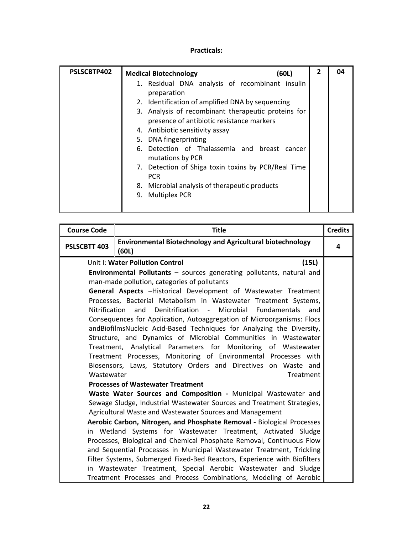| PSLSCBTP402 | <b>Medical Biotechnology</b><br>(60L)                                                            | $\overline{2}$ | 04 |
|-------------|--------------------------------------------------------------------------------------------------|----------------|----|
|             | 1. Residual DNA analysis of recombinant insulin<br>preparation                                   |                |    |
|             | 2. Identification of amplified DNA by sequencing                                                 |                |    |
|             | 3. Analysis of recombinant therapeutic proteins for<br>presence of antibiotic resistance markers |                |    |
|             | 4. Antibiotic sensitivity assay                                                                  |                |    |
|             | 5. DNA fingerprinting                                                                            |                |    |
|             | 6. Detection of Thalassemia and breast cancer<br>mutations by PCR                                |                |    |
|             | 7. Detection of Shiga toxin toxins by PCR/Real Time<br><b>PCR</b>                                |                |    |
|             | 8. Microbial analysis of therapeutic products                                                    |                |    |
|             | <b>Multiplex PCR</b><br>9.                                                                       |                |    |

| <b>Course Code</b>                                                    | <b>Title</b>                                                                                                                    | <b>Credits</b> |  |  |  |  |  |  |
|-----------------------------------------------------------------------|---------------------------------------------------------------------------------------------------------------------------------|----------------|--|--|--|--|--|--|
| PSLSCBTT 403                                                          | <b>Environmental Biotechnology and Agricultural biotechnology</b><br>(60L)                                                      |                |  |  |  |  |  |  |
| Unit I: Water Pollution Control<br>(15L)                              |                                                                                                                                 |                |  |  |  |  |  |  |
|                                                                       | Environmental Pollutants - sources generating pollutants, natural and                                                           |                |  |  |  |  |  |  |
|                                                                       | man-made pollution, categories of pollutants                                                                                    |                |  |  |  |  |  |  |
|                                                                       | General Aspects -Historical Development of Wastewater Treatment                                                                 |                |  |  |  |  |  |  |
|                                                                       | Processes, Bacterial Metabolism in Wastewater Treatment Systems,                                                                |                |  |  |  |  |  |  |
|                                                                       | Nitrification and Denitrification - Microbial Fundamentals<br>and                                                               |                |  |  |  |  |  |  |
|                                                                       | Consequences for Application, Autoaggregation of Microorganisms: Flocs                                                          |                |  |  |  |  |  |  |
|                                                                       | andBiofilmsNucleic Acid-Based Techniques for Analyzing the Diversity,                                                           |                |  |  |  |  |  |  |
|                                                                       | Structure, and Dynamics of Microbial Communities in Wastewater<br>Treatment, Analytical Parameters for Monitoring of Wastewater |                |  |  |  |  |  |  |
|                                                                       | Treatment Processes, Monitoring of Environmental Processes with                                                                 |                |  |  |  |  |  |  |
|                                                                       | Biosensors, Laws, Statutory Orders and Directives on Waste and                                                                  |                |  |  |  |  |  |  |
| Wastewater                                                            | Treatment                                                                                                                       |                |  |  |  |  |  |  |
|                                                                       | <b>Processes of Wastewater Treatment</b>                                                                                        |                |  |  |  |  |  |  |
|                                                                       | Waste Water Sources and Composition - Municipal Wastewater and                                                                  |                |  |  |  |  |  |  |
|                                                                       | Sewage Sludge, Industrial Wastewater Sources and Treatment Strategies,                                                          |                |  |  |  |  |  |  |
|                                                                       | Agricultural Waste and Wastewater Sources and Management                                                                        |                |  |  |  |  |  |  |
|                                                                       | Aerobic Carbon, Nitrogen, and Phosphate Removal - Biological Processes                                                          |                |  |  |  |  |  |  |
|                                                                       | in Wetland Systems for Wastewater Treatment, Activated Sludge                                                                   |                |  |  |  |  |  |  |
| Processes, Biological and Chemical Phosphate Removal, Continuous Flow |                                                                                                                                 |                |  |  |  |  |  |  |
| and Sequential Processes in Municipal Wastewater Treatment, Trickling |                                                                                                                                 |                |  |  |  |  |  |  |
|                                                                       | Filter Systems, Submerged Fixed-Bed Reactors, Experience with Biofilters                                                        |                |  |  |  |  |  |  |
|                                                                       | in Wastewater Treatment, Special Aerobic Wastewater and Sludge                                                                  |                |  |  |  |  |  |  |
|                                                                       | Treatment Processes and Process Combinations, Modeling of Aerobic                                                               |                |  |  |  |  |  |  |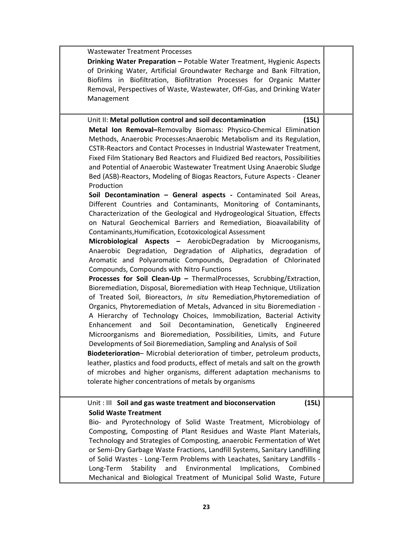| <b>Wastewater Treatment Processes</b>                                        |  |
|------------------------------------------------------------------------------|--|
| Drinking Water Preparation - Potable Water Treatment, Hygienic Aspects       |  |
| of Drinking Water, Artificial Groundwater Recharge and Bank Filtration,      |  |
| Biofilms in Biofiltration, Biofiltration Processes for Organic Matter        |  |
|                                                                              |  |
| Removal, Perspectives of Waste, Wastewater, Off-Gas, and Drinking Water      |  |
| Management                                                                   |  |
|                                                                              |  |
| Unit II: Metal pollution control and soil decontamination<br>(15L)           |  |
| Metal Ion Removal-Removalby Biomass: Physico-Chemical Elimination            |  |
| Methods, Anaerobic Processes: Anaerobic Metabolism and its Regulation,       |  |
| CSTR-Reactors and Contact Processes in Industrial Wastewater Treatment,      |  |
| Fixed Film Stationary Bed Reactors and Fluidized Bed reactors, Possibilities |  |
| and Potential of Anaerobic Wastewater Treatment Using Anaerobic Sludge       |  |
| Bed (ASB)-Reactors, Modeling of Biogas Reactors, Future Aspects - Cleaner    |  |
| Production                                                                   |  |
| Soil Decontamination - General aspects - Contaminated Soil Areas,            |  |
| Different Countries and Contaminants, Monitoring of Contaminants,            |  |
| Characterization of the Geological and Hydrogeological Situation, Effects    |  |
| on Natural Geochemical Barriers and Remediation, Bioavailability of          |  |
| Contaminants, Humification, Ecotoxicological Assessment                      |  |
| Microbiological Aspects - AerobicDegradation by<br>Microoganisms,            |  |
| Anaerobic Degradation, Degradation of Aliphatics, degradation of             |  |
| Aromatic and Polyaromatic Compounds, Degradation of Chlorinated              |  |
|                                                                              |  |
| Compounds, Compounds with Nitro Functions                                    |  |
| Processes for Soil Clean-Up - ThermalProcesses, Scrubbing/Extraction,        |  |
| Bioremediation, Disposal, Bioremediation with Heap Technique, Utilization    |  |
| of Treated Soil, Bioreactors, In situ Remediation, Phytoremediation of       |  |
| Organics, Phytoremediation of Metals, Advanced in situ Bioremediation -      |  |
| A Hierarchy of Technology Choices, Immobilization, Bacterial Activity        |  |
| Soil Decontamination, Genetically Engineered<br>Enhancement and              |  |
| Microorganisms and Bioremediation, Possibilities, Limits, and Future         |  |
| Developments of Soil Bioremediation, Sampling and Analysis of Soil           |  |
| Biodeterioration- Microbial deterioration of timber, petroleum products,     |  |
| leather, plastics and food products, effect of metals and salt on the growth |  |
| of microbes and higher organisms, different adaptation mechanisms to         |  |
| tolerate higher concentrations of metals by organisms                        |  |
|                                                                              |  |
| Unit: III Soil and gas waste treatment and bioconservation<br>(15L)          |  |
| <b>Solid Waste Treatment</b>                                                 |  |
| Bio- and Pyrotechnology of Solid Waste Treatment, Microbiology of            |  |
| Composting, Composting of Plant Residues and Waste Plant Materials,          |  |
| Technology and Strategies of Composting, anaerobic Fermentation of Wet       |  |
| or Semi-Dry Garbage Waste Fractions, Landfill Systems, Sanitary Landfilling  |  |
| of Solid Wastes - Long-Term Problems with Leachates, Sanitary Landfills -    |  |
| Environmental<br>Long-Term<br>Stability<br>and<br>Implications,<br>Combined  |  |
| Mechanical and Biological Treatment of Municipal Solid Waste, Future         |  |
|                                                                              |  |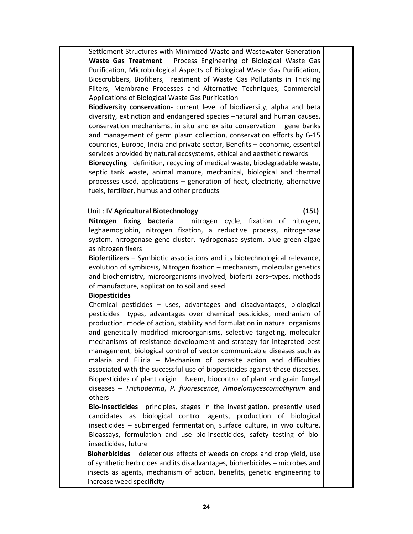Settlement Structures with Minimized Waste and Wastewater Generation **Waste Gas Treatment** – Process Engineering of Biological Waste Gas Purification, Microbiological Aspects of Biological Waste Gas Purification, Bioscrubbers, Biofilters, Treatment of Waste Gas Pollutants in Trickling Filters, Membrane Processes and Alternative Techniques, Commercial Applications of Biological Waste Gas Purification

**Biodiversity conservation**‐ current level of biodiversity, alpha and beta diversity, extinction and endangered species –natural and human causes, conservation mechanisms, in situ and ex situ conservation – gene banks and management of germ plasm collection, conservation efforts by G‐15 countries, Europe, India and private sector, Benefits – economic, essential services provided by natural ecosystems, ethical and aesthetic rewards **Biorecycling**– definition, recycling of medical waste, biodegradable waste, septic tank waste, animal manure, mechanical, biological and thermal

processes used, applications – generation of heat, electricity, alternative fuels, fertilizer, humus and other products

#### Unit : IV **Agricultural Biotechnology** (15L)

**Nitrogen fixing bacteria** – nitrogen cycle, fixation of nitrogen, leghaemoglobin, nitrogen fixation, a reductive process, nitrogenase system, nitrogenase gene cluster, hydrogenase system, blue green algae as nitrogen fixers

**Biofertilizers –** Symbiotic associations and its biotechnological relevance, evolution of symbiosis, Nitrogen fixation – mechanism, molecular genetics and biochemistry, microorganisms involved, biofertilizers–types, methods of manufacture, application to soil and seed

#### **Biopesticides**

Chemical pesticides – uses, advantages and disadvantages, biological pesticides –types, advantages over chemical pesticides, mechanism of production, mode of action, stability and formulation in natural organisms and genetically modified microorganisms, selective targeting, molecular mechanisms of resistance development and strategy for integrated pest management, biological control of vector communicable diseases such as malaria and Filiria – Mechanism of parasite action and difficulties associated with the successful use of biopesticides against these diseases. Biopesticides of plant origin – Neem, biocontrol of plant and grain fungal diseases – *Trichoderma*, *P*. *fluorescence*, *Ampelomycescomothyrum* and others

**Bio‐insecticides**– principles, stages in the investigation, presently used candidates as biological control agents, production of biological insecticides – submerged fermentation, surface culture, in vivo culture, Bioassays, formulation and use bio‐insecticides, safety testing of bio‐ insecticides, future

**Bioherbicides** – deleterious effects of weeds on crops and crop yield, use of synthetic herbicides and its disadvantages, bioherbicides – microbes and insects as agents, mechanism of action, benefits, genetic engineering to increase weed specificity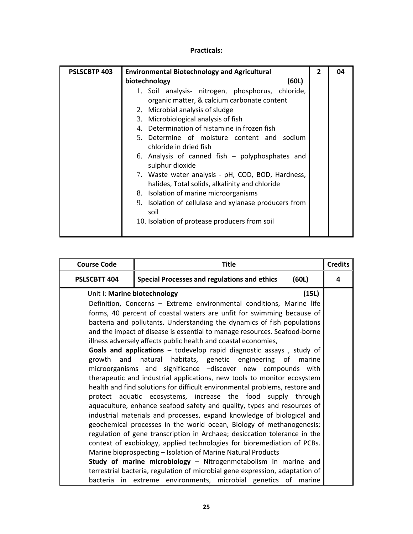| <b>PSLSCBTP 403</b> | <b>Environmental Biotechnology and Agricultural</b>   | $\overline{2}$ | 04 |  |  |  |  |  |
|---------------------|-------------------------------------------------------|----------------|----|--|--|--|--|--|
|                     | biotechnology<br>(60L)                                |                |    |  |  |  |  |  |
|                     | 1. Soil analysis- nitrogen, phosphorus, chloride,     |                |    |  |  |  |  |  |
|                     | organic matter, & calcium carbonate content           |                |    |  |  |  |  |  |
|                     | 2. Microbial analysis of sludge                       |                |    |  |  |  |  |  |
|                     | 3. Microbiological analysis of fish                   |                |    |  |  |  |  |  |
|                     | 4. Determination of histamine in frozen fish          |                |    |  |  |  |  |  |
|                     | 5. Determine of moisture content and sodium           |                |    |  |  |  |  |  |
|                     | chloride in dried fish                                |                |    |  |  |  |  |  |
|                     | 6. Analysis of canned fish $-$ polyphosphates and     |                |    |  |  |  |  |  |
|                     | sulphur dioxide                                       |                |    |  |  |  |  |  |
|                     | 7. Waste water analysis - pH, COD, BOD, Hardness,     |                |    |  |  |  |  |  |
|                     | halides, Total solids, alkalinity and chloride        |                |    |  |  |  |  |  |
|                     | 8. Isolation of marine microorganisms                 |                |    |  |  |  |  |  |
|                     | 9. Isolation of cellulase and xylanase producers from |                |    |  |  |  |  |  |
|                     | soil                                                  |                |    |  |  |  |  |  |
|                     | 10. Isolation of protease producers from soil         |                |    |  |  |  |  |  |
|                     |                                                       |                |    |  |  |  |  |  |

| <b>Course Code</b>                    | <b>Title</b>                                                                                                                    |  |  |  |  |  |  |  |
|---------------------------------------|---------------------------------------------------------------------------------------------------------------------------------|--|--|--|--|--|--|--|
| PSLSCBTT 404                          | <b>Special Processes and regulations and ethics</b><br>(60L)                                                                    |  |  |  |  |  |  |  |
| Unit I: Marine biotechnology<br>(15L) |                                                                                                                                 |  |  |  |  |  |  |  |
|                                       | Definition, Concerns - Extreme environmental conditions, Marine life                                                            |  |  |  |  |  |  |  |
|                                       | forms, 40 percent of coastal waters are unfit for swimming because of                                                           |  |  |  |  |  |  |  |
|                                       | bacteria and pollutants. Understanding the dynamics of fish populations                                                         |  |  |  |  |  |  |  |
|                                       | and the impact of disease is essential to manage resources. Seafood-borne                                                       |  |  |  |  |  |  |  |
|                                       | illness adversely affects public health and coastal economies,                                                                  |  |  |  |  |  |  |  |
|                                       | Goals and applications - todevelop rapid diagnostic assays, study of                                                            |  |  |  |  |  |  |  |
|                                       | growth and natural habitats, genetic engineering of<br>marine                                                                   |  |  |  |  |  |  |  |
|                                       | microorganisms and significance -discover new compounds with                                                                    |  |  |  |  |  |  |  |
|                                       | therapeutic and industrial applications, new tools to monitor ecosystem                                                         |  |  |  |  |  |  |  |
|                                       | health and find solutions for difficult environmental problems, restore and                                                     |  |  |  |  |  |  |  |
|                                       | protect aquatic ecosystems, increase the food supply through                                                                    |  |  |  |  |  |  |  |
|                                       | aquaculture, enhance seafood safety and quality, types and resources of                                                         |  |  |  |  |  |  |  |
|                                       | industrial materials and processes, expand knowledge of biological and                                                          |  |  |  |  |  |  |  |
|                                       | geochemical processes in the world ocean, Biology of methanogenesis;                                                            |  |  |  |  |  |  |  |
|                                       | regulation of gene transcription in Archaea; desiccation tolerance in the                                                       |  |  |  |  |  |  |  |
|                                       | context of exobiology, applied technologies for bioremediation of PCBs.                                                         |  |  |  |  |  |  |  |
|                                       | Marine bioprospecting - Isolation of Marine Natural Products<br>Study of marine microbiology - Nitrogenmetabolism in marine and |  |  |  |  |  |  |  |
|                                       | terrestrial bacteria, regulation of microbial gene expression, adaptation of                                                    |  |  |  |  |  |  |  |
|                                       | bacteria in extreme environments, microbial genetics of marine                                                                  |  |  |  |  |  |  |  |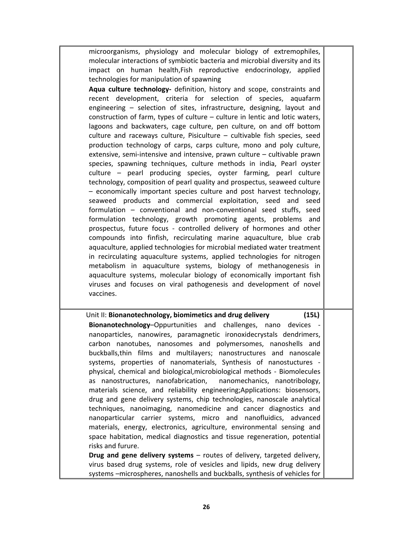microorganisms, physiology and molecular biology of extremophiles, molecular interactions of symbiotic bacteria and microbial diversity and its impact on human health,Fish reproductive endocrinology, applied technologies for manipulation of spawning

**Aqua culture technology‐**  definition, history and scope, constraints and recent development, criteria for selection of species, aquafarm engineering – selection of sites, infrastructure, designing, layout and construction of farm, types of culture – culture in lentic and lotic waters, lagoons and backwaters, cage culture, pen culture, on and off bottom culture and raceways culture, Pisiculture – cultivable fish species, seed production technology of carps, carps culture, mono and poly culture, extensive, semi-intensive and intensive, prawn culture – cultivable prawn species, spawning techniques, culture methods in india, Pearl oyster culture – pearl producing species, oyster farming, pearl culture technology, composition of pearl quality and prospectus, seaweed culture – economically important species culture and post harvest technology, seaweed products and commercial exploitation, seed and seed formulation – conventional and non‐conventional seed stuffs, seed formulation technology, growth promoting agents, problems and prospectus, future focus ‐ controlled delivery of hormones and other compounds into finfish, recirculating marine aquaculture, blue crab aquaculture, applied technologies for microbial mediated water treatment in recirculating aquaculture systems, applied technologies for nitrogen metabolism in aquaculture systems, biology of methanogenesis in aquaculture systems, molecular biology of economically important fish viruses and focuses on viral pathogenesis and development of novel vaccines.

Unit II: **Bionanotechnology, biomimetics and drug delivery (15L) Bionanotechnology–Oppurtunities and challenges, nano devices** nanoparticles, nanowires, paramagnetic ironoxidecrystals dendrimers, carbon nanotubes, nanosomes and polymersomes, nanoshells and buckballs,thin films and multilayers; nanostructures and nanoscale systems, properties of nanomaterials, Synthesis of nanostuctures physical, chemical and biological,microbiological methods ‐ Biomolecules as nanostructures, nanofabrication, nanomechanics, nanotribology, materials science, and reliability engineering;Applications: biosensors, drug and gene delivery systems, chip technologies, nanoscale analytical techniques, nanoimaging, nanomedicine and cancer diagnostics and nanoparticular carrier systems, micro and nanofluidics, advanced materials, energy, electronics, agriculture, environmental sensing and space habitation, medical diagnostics and tissue regeneration, potential risks and furure. **Drug and gene delivery systems** – routes of delivery, targeted delivery,

virus based drug systems, role of vesicles and lipids, new drug delivery systems –microspheres, nanoshells and buckballs, synthesis of vehicles for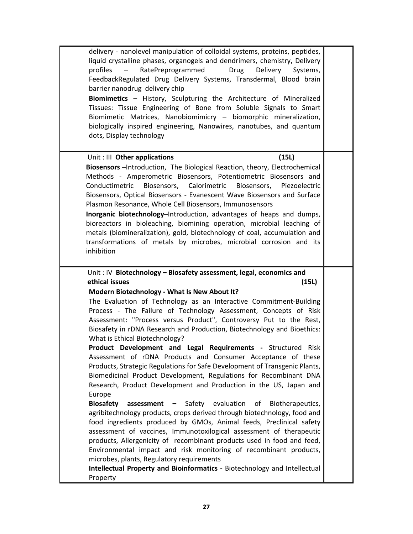| delivery - nanolevel manipulation of colloidal systems, proteins, peptides,<br>liquid crystalline phases, organogels and dendrimers, chemistry, Delivery<br>Drug<br>RatePreprogrammed<br>Delivery<br>profiles<br>Systems,<br>FeedbackRegulated Drug Delivery Systems, Transdermal, Blood brain<br>barrier nanodrug delivery chip<br>Biomimetics - History, Sculpturing the Architecture of Mineralized<br>Tissues: Tissue Engineering of Bone from Soluble Signals to Smart<br>Biomimetic Matrices, Nanobiomimicry - biomorphic mineralization,<br>biologically inspired engineering, Nanowires, nanotubes, and quantum<br>dots, Display technology                                                                                                                                                                                                                                                                                                                                                                                                                                                                                                                                                                                                                                                                                                                                                                                          |  |
|----------------------------------------------------------------------------------------------------------------------------------------------------------------------------------------------------------------------------------------------------------------------------------------------------------------------------------------------------------------------------------------------------------------------------------------------------------------------------------------------------------------------------------------------------------------------------------------------------------------------------------------------------------------------------------------------------------------------------------------------------------------------------------------------------------------------------------------------------------------------------------------------------------------------------------------------------------------------------------------------------------------------------------------------------------------------------------------------------------------------------------------------------------------------------------------------------------------------------------------------------------------------------------------------------------------------------------------------------------------------------------------------------------------------------------------------|--|
| Unit: III Other applications<br>(15L)<br>Biosensors - Introduction, The Biological Reaction, theory, Electrochemical<br>Methods - Amperometric Biosensors, Potentiometric Biosensors and<br>Conductimetric<br>Biosensors, Calorimetric Biosensors,<br>Piezoelectric<br>Biosensors, Optical Biosensors - Evanescent Wave Biosensors and Surface<br>Plasmon Resonance, Whole Cell Biosensors, Immunosensors<br>Inorganic biotechnology-Introduction, advantages of heaps and dumps,<br>bioreactors in bioleaching, biomining operation, microbial leaching of<br>metals (biomineralization), gold, biotechnology of coal, accumulation and<br>transformations of metals by microbes, microbial corrosion and its<br>inhibition                                                                                                                                                                                                                                                                                                                                                                                                                                                                                                                                                                                                                                                                                                                 |  |
| Unit: IV Biotechnology - Biosafety assessment, legal, economics and<br>ethical issues<br>(15L)<br>Modern Biotechnology - What Is New About It?<br>The Evaluation of Technology as an Interactive Commitment-Building<br>Process - The Failure of Technology Assessment, Concepts of Risk<br>Assessment: "Process versus Product", Controversy Put to the Rest,<br>Biosafety in rDNA Research and Production, Biotechnology and Bioethics:<br>What is Ethical Biotechnology?<br>Product Development and Legal Requirements - Structured Risk<br>Assessment of rDNA Products and Consumer Acceptance of these<br>Products, Strategic Regulations for Safe Development of Transgenic Plants,<br>Biomedicinal Product Development, Regulations for Recombinant DNA<br>Research, Product Development and Production in the US, Japan and<br>Europe<br>assessment - Safety evaluation<br><b>Biosafety</b><br>of<br>Biotherapeutics,<br>agribitechnology products, crops derived through biotechnology, food and<br>food ingredients produced by GMOs, Animal feeds, Preclinical safety<br>assessment of vaccines, Immunotoxilogical assessment of therapeutic<br>products, Allergenicity of recombinant products used in food and feed,<br>Environmental impact and risk monitoring of recombinant products,<br>microbes, plants, Regulatory requirements<br>Intellectual Property and Bioinformatics - Biotechnology and Intellectual<br>Property |  |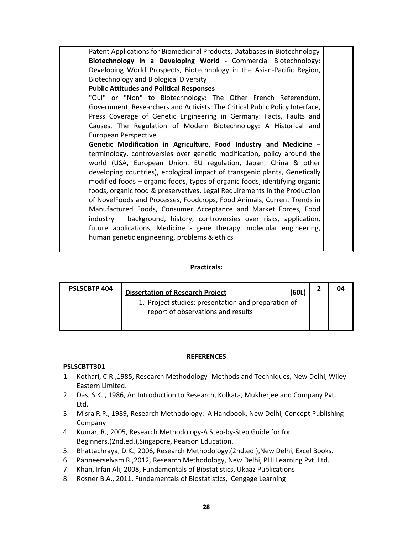| Patent Applications for Biomedicinal Products, Databases in Biotechnology    |  |
|------------------------------------------------------------------------------|--|
| Biotechnology in a Developing World - Commercial Biotechnology:              |  |
| Developing World Prospects, Biotechnology in the Asian-Pacific Region,       |  |
| Biotechnology and Biological Diversity                                       |  |
| <b>Public Attitudes and Political Responses</b>                              |  |
| "Oui" or "Non" to Biotechnology: The Other French Referendum,                |  |
| Government, Researchers and Activists: The Critical Public Policy Interface, |  |
| Press Coverage of Genetic Engineering in Germany: Facts, Faults and          |  |
| Causes, The Regulation of Modern Biotechnology: A Historical and             |  |
| European Perspective                                                         |  |
| Genetic Modification in Agriculture, Food Industry and Medicine -            |  |
| terminology, controversies over genetic modification, policy around the      |  |
| world (USA, European Union, EU regulation, Japan, China & other              |  |
| developing countries), ecological impact of transgenic plants, Genetically   |  |
| modified foods - organic foods, types of organic foods, identifying organic  |  |
| foods, organic food & preservatives, Legal Requirements in the Production    |  |
|                                                                              |  |
| of NovelFoods and Processes, Foodcrops, Food Animals, Current Trends in      |  |
| Manufactured Foods, Consumer Acceptance and Market Forces, Food              |  |
| industry - background, history, controversies over risks, application,       |  |
| future applications, Medicine - gene therapy, molecular engineering,         |  |
| human genetic engineering, problems & ethics                                 |  |
|                                                                              |  |

#### **Practicals:**

| <b>PSLSCBTP 404</b> | (60L)<br><b>Dissertation of Research Project</b>                                          |  |
|---------------------|-------------------------------------------------------------------------------------------|--|
|                     | 1. Project studies: presentation and preparation of<br>report of observations and results |  |

#### **REFERENCES**

#### **PSLSCBTT301**

- 1. Kothari, C.R.,1985, Research Methodology‐ Methods and Techniques, New Delhi, Wiley Eastern Limited.
- 2. Das, S.K. , 1986, An Introduction to Research, Kolkata, Mukherjee and Company Pvt. Ltd.
- 3. Misra R.P., 1989, Research Methodology: A Handbook, New Delhi, Concept Publishing Company
- 4. Kumar, R., 2005, Research Methodology‐A Step‐by‐Step Guide for for Beginners,(2nd.ed.),Singapore, Pearson Education.
- 5. Bhattachraya, D.K., 2006, Research Methodology,(2nd.ed.),New Delhi, Excel Books.
- 6. Panneerselvam R.,2012, Research Methodology, New Delhi, PHI Learning Pvt. Ltd.
- 7. Khan, Irfan Ali, 2008, Fundamentals of Biostatistics, Ukaaz Publications
- 8. Rosner B.A., 2011, Fundamentals of Biostatistics, Cengage Learning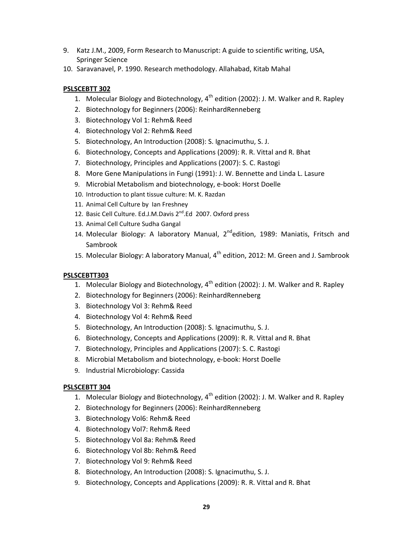- 9. Katz J.M., 2009, Form Research to Manuscript: A guide to scientific writing, USA, Springer Science
- 10. Saravanavel, P. 1990. Research methodology. Allahabad, Kitab Mahal

# **PSLSCEBTT 302**

- 1. Molecular Biology and Biotechnology,  $4<sup>th</sup>$  edition (2002): J. M. Walker and R. Rapley
- 2. Biotechnology for Beginners (2006): ReinhardRenneberg
- 3. Biotechnology Vol 1: Rehm& Reed
- 4. Biotechnology Vol 2: Rehm& Reed
- 5. Biotechnology, An Introduction (2008): S. Ignacimuthu, S. J.
- 6. Biotechnology, Concepts and Applications (2009): R. R. Vittal and R. Bhat
- 7. Biotechnology, Principles and Applications (2007): S. C. Rastogi
- 8. More Gene Manipulations in Fungi (1991): J. W. Bennette and Linda L. Lasure
- 9. Microbial Metabolism and biotechnology, e-book: Horst Doelle
- 10. Introduction to plant tissue culture: M. K. Razdan
- 11. Animal Cell Culture by Ian Freshney
- 12. Basic Cell Culture. Ed.J.M.Davis 2<sup>nd</sup>.Ed 2007. Oxford press
- 13. Animal Cell Culture Sudha Gangal
- 14. Molecular Biology: A laboratory Manual, 2<sup>nd</sup>edition, 1989: Maniatis, Fritsch and Sambrook
- 15. Molecular Biology: A laboratory Manual,  $4^{th}$  edition, 2012: M. Green and J. Sambrook

# **PSLSCEBTT303**

- 1. Molecular Biology and Biotechnology,  $4^{th}$  edition (2002): J. M. Walker and R. Rapley
- 2. Biotechnology for Beginners (2006): ReinhardRenneberg
- 3. Biotechnology Vol 3: Rehm& Reed
- 4. Biotechnology Vol 4: Rehm& Reed
- 5. Biotechnology, An Introduction (2008): S. Ignacimuthu, S. J.
- 6. Biotechnology, Concepts and Applications (2009): R. R. Vittal and R. Bhat
- 7. Biotechnology, Principles and Applications (2007): S. C. Rastogi
- 8. Microbial Metabolism and biotechnology, e‐book: Horst Doelle
- 9. Industrial Microbiology: Cassida

# **PSLSCEBTT 304**

- 1. Molecular Biology and Biotechnology,  $4^{th}$  edition (2002): J. M. Walker and R. Rapley
- 2. Biotechnology for Beginners (2006): ReinhardRenneberg
- 3. Biotechnology Vol6: Rehm& Reed
- 4. Biotechnology Vol7: Rehm& Reed
- 5. Biotechnology Vol 8a: Rehm& Reed
- 6. Biotechnology Vol 8b: Rehm& Reed
- 7. Biotechnology Vol 9: Rehm& Reed
- 8. Biotechnology, An Introduction (2008): S. Ignacimuthu, S. J.
- 9. Biotechnology, Concepts and Applications (2009): R. R. Vittal and R. Bhat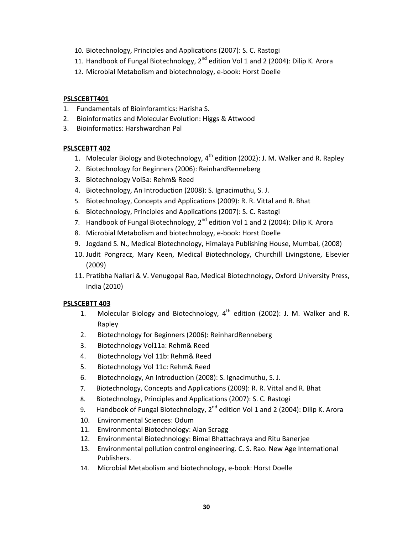- 10. Biotechnology, Principles and Applications (2007): S. C. Rastogi
- 11. Handbook of Fungal Biotechnology,  $2^{nd}$  edition Vol 1 and 2 (2004): Dilip K. Arora
- 12. Microbial Metabolism and biotechnology, e‐book: Horst Doelle

# **PSLSCEBTT401**

- 1. Fundamentals of Bioinforamtics: Harisha S.
- 2. Bioinformatics and Molecular Evolution: Higgs & Attwood
- 3. Bioinformatics: Harshwardhan Pal

# **PSLSCEBTT 402**

- 1. Molecular Biology and Biotechnology,  $4<sup>th</sup>$  edition (2002): J. M. Walker and R. Rapley
- 2. Biotechnology for Beginners (2006): ReinhardRenneberg
- 3. Biotechnology Vol5a: Rehm& Reed
- 4. Biotechnology, An Introduction (2008): S. Ignacimuthu, S. J.
- 5. Biotechnology, Concepts and Applications (2009): R. R. Vittal and R. Bhat
- 6. Biotechnology, Principles and Applications (2007): S. C. Rastogi
- 7. Handbook of Fungal Biotechnology,  $2^{nd}$  edition Vol 1 and 2 (2004): Dilip K. Arora
- 8. Microbial Metabolism and biotechnology, e‐book: Horst Doelle
- 9. Jogdand S. N., Medical Biotechnology, Himalaya Publishing House, Mumbai, (2008)
- 10. Judit Pongracz, Mary Keen, Medical Biotechnology, Churchill Livingstone, Elsevier (2009)
- 11. Pratibha Nallari & V. Venugopal Rao, Medical Biotechnology, Oxford University Press, India (2010)

# **PSLSCEBTT 403**

- 1. Molecular Biology and Biotechnology,  $4<sup>th</sup>$  edition (2002): J. M. Walker and R. Rapley
- 2. Biotechnology for Beginners (2006): ReinhardRenneberg
- 3. Biotechnology Vol11a: Rehm& Reed
- 4. Biotechnology Vol 11b: Rehm& Reed
- 5. Biotechnology Vol 11c: Rehm& Reed
- 6. Biotechnology, An Introduction (2008): S. Ignacimuthu, S. J.
- 7. Biotechnology, Concepts and Applications (2009): R. R. Vittal and R. Bhat
- 8. Biotechnology, Principles and Applications (2007): S. C. Rastogi
- 9. Handbook of Fungal Biotechnology, 2<sup>nd</sup> edition Vol 1 and 2 (2004): Dilip K. Arora
- 10. Environmental Sciences: Odum
- 11. Environmental Biotechnology: Alan Scragg
- 12. Environmental Biotechnology: Bimal Bhattachraya and Ritu Banerjee
- 13. Environmental pollution control engineering. C. S. Rao. New Age International Publishers.
- 14. Microbial Metabolism and biotechnology, e‐book: Horst Doelle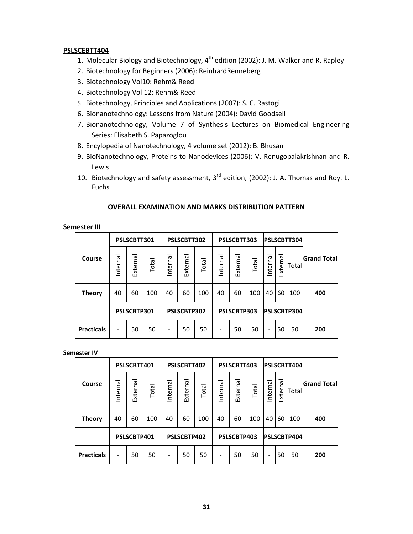#### **PSLSCEBTT404**

- 1. Molecular Biology and Biotechnology,  $4<sup>th</sup>$  edition (2002): J. M. Walker and R. Rapley
- 2. Biotechnology for Beginners (2006): ReinhardRenneberg
- 3. Biotechnology Vol10: Rehm& Reed
- 4. Biotechnology Vol 12: Rehm& Reed
- 5. Biotechnology, Principles and Applications (2007): S. C. Rastogi
- 6. Bionanotechnology: Lessons from Nature (2004): David Goodsell
- 7. Bionanotechnology, Volume 7 of Synthesis Lectures on Biomedical Engineering Series: Elisabeth S. Papazoglou
- 8. Encylopedia of Nanotechnology, 4 volume set (2012): B. Bhusan
- 9. BioNanotechnology, Proteins to Nanodevices (2006): V. Renugopalakrishnan and R. Lewis
- 10. Biotechnology and safety assessment, 3<sup>rd</sup> edition, (2002): J. A. Thomas and Roy. L. Fuchs

#### **OVERALL EXAMINATION AND MARKS DISTRIBUTION PATTERN**

#### **Semester III**

|                   |          | PSLSCBTT301 |       |          | PSLSCBTT302 |       |          | PSLSCBTT303 |       |          |             | PSLSCBTT304 |                    |
|-------------------|----------|-------------|-------|----------|-------------|-------|----------|-------------|-------|----------|-------------|-------------|--------------------|
| Course            | Internal | External    | Total | Internal | External    | Total | Internal | External    | Total | Internal | External    | Total       | <b>Grand Total</b> |
| <b>Theory</b>     | 40       | 60          | 100   | 40       | 60          | 100   | 40       | 60          | 100   | 40       | 60          | 100         | 400                |
|                   |          | PSLSCBTP301 |       |          | PSLSCBTP302 |       |          | PSLSCBTP303 |       |          | PSLSCBTP304 |             |                    |
| <b>Practicals</b> | -        | 50          | 50    | -        | 50          | 50    | -        | 50          | 50    | ۰        | 50          | 50          | 200                |

#### **Semester IV**

|                   | PSLSCBTT401 |          |       | PSLSCBTT402 |          |       | PSLSCBTT403 |          |       | PSLSCBTT404 |          |       |                    |
|-------------------|-------------|----------|-------|-------------|----------|-------|-------------|----------|-------|-------------|----------|-------|--------------------|
| Course            | Internal    | External | Total | nternal     | External | Total | Internal    | External | Total | Internal    | External | Total | <b>Grand Total</b> |
| <b>Theory</b>     | 40          | 60       | 100   | 40          | 60       | 100   | 40          | 60       | 100   | 40          | 60       | 100   | 400                |
|                   | PSLSCBTP401 |          |       | PSLSCBTP402 |          |       | PSLSCBTP403 |          |       | PSLSCBTP404 |          |       |                    |
| <b>Practicals</b> | -           | 50       | 50    | -           | 50       | 50    | -           | 50       | 50    | ۰           | 50       | 50    | 200                |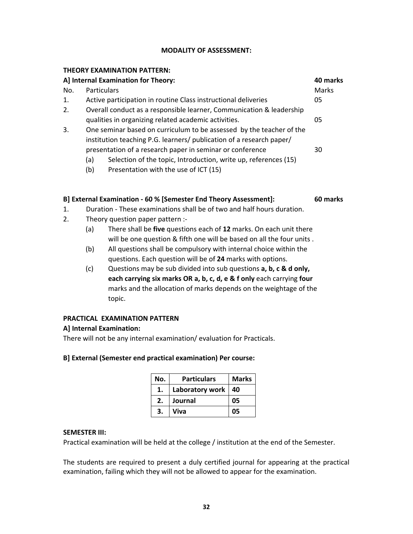#### **MODALITY OF ASSESSMENT:**

#### **THEORY EXAMINATION PATTERN:**

| A] Internal Examination for Theory: |                    |                                                                      | 40 marks |
|-------------------------------------|--------------------|----------------------------------------------------------------------|----------|
| No.                                 | <b>Particulars</b> |                                                                      | Marks    |
| 1.                                  |                    | Active participation in routine Class instructional deliveries       | 05       |
| 2.                                  |                    | Overall conduct as a responsible learner, Communication & leadership |          |
|                                     |                    | qualities in organizing related academic activities.                 | 05       |
| 3.                                  |                    | One seminar based on curriculum to be assessed by the teacher of the |          |
|                                     |                    | institution teaching P.G. learners/ publication of a research paper/ |          |
|                                     |                    | presentation of a research paper in seminar or conference            | 30       |
|                                     | (a)                | Selection of the topic, Introduction, write up, references (15)      |          |
|                                     | (b)                | Presentation with the use of ICT (15)                                |          |

#### **B] External Examination ‐ 60 % [Semester End Theory Assessment]: 60 marks**

- 1. Duration ‐ These examinations shall be of two and half hours duration.
- 2. Theory question paper pattern :‐
	- (a) There shall be **five** questions each of **12** marks. On each unit there will be one question & fifth one will be based on all the four units .
	- (b) All questions shall be compulsory with internal choice within the questions. Each question will be of **24** marks with options.
	- (c) Questions may be sub divided into sub questions **a, b, c & d only, each carrying six marks OR a, b, c, d, e & f only** each carrying **four** marks and the allocation of marks depends on the weightage of the topic.

#### **PRACTICAL EXAMINATION PATTERN**

#### **A] Internal Examination:**

There will not be any internal examination/ evaluation for Practicals.

#### **B] External (Semester end practical examination) Per course:**

| No. | <b>Particulars</b> | <b>Marks</b> |
|-----|--------------------|--------------|
| 1.  | Laboratory work    | 40           |
| 2.  | Journal            | 05           |
| 3.  | Viva               | 05           |

#### **SEMESTER III:**

Practical examination will be held at the college / institution at the end of the Semester.

The students are required to present a duly certified journal for appearing at the practical examination, failing which they will not be allowed to appear for the examination.